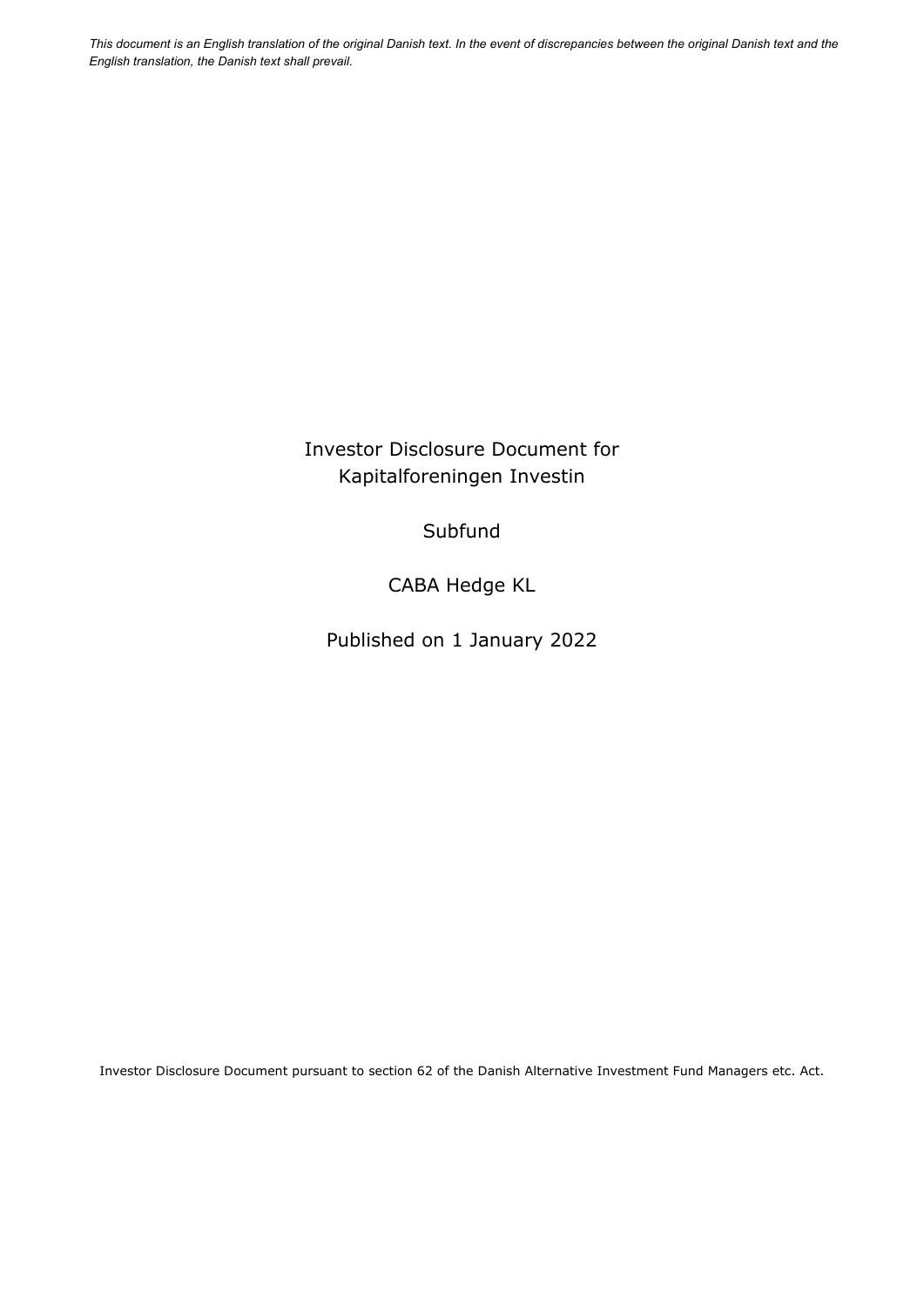*This document is an English translation of the original Danish text. In the event of discrepancies between the original Danish text and the English translation, the Danish text shall prevail.* 

> Investor Disclosure Document for Kapitalforeningen Investin

> > **Subfund**

CABA Hedge KL

Published on 1 January 2022

Investor Disclosure Document pursuant to section 62 of the Danish Alternative Investment Fund Managers etc. Act.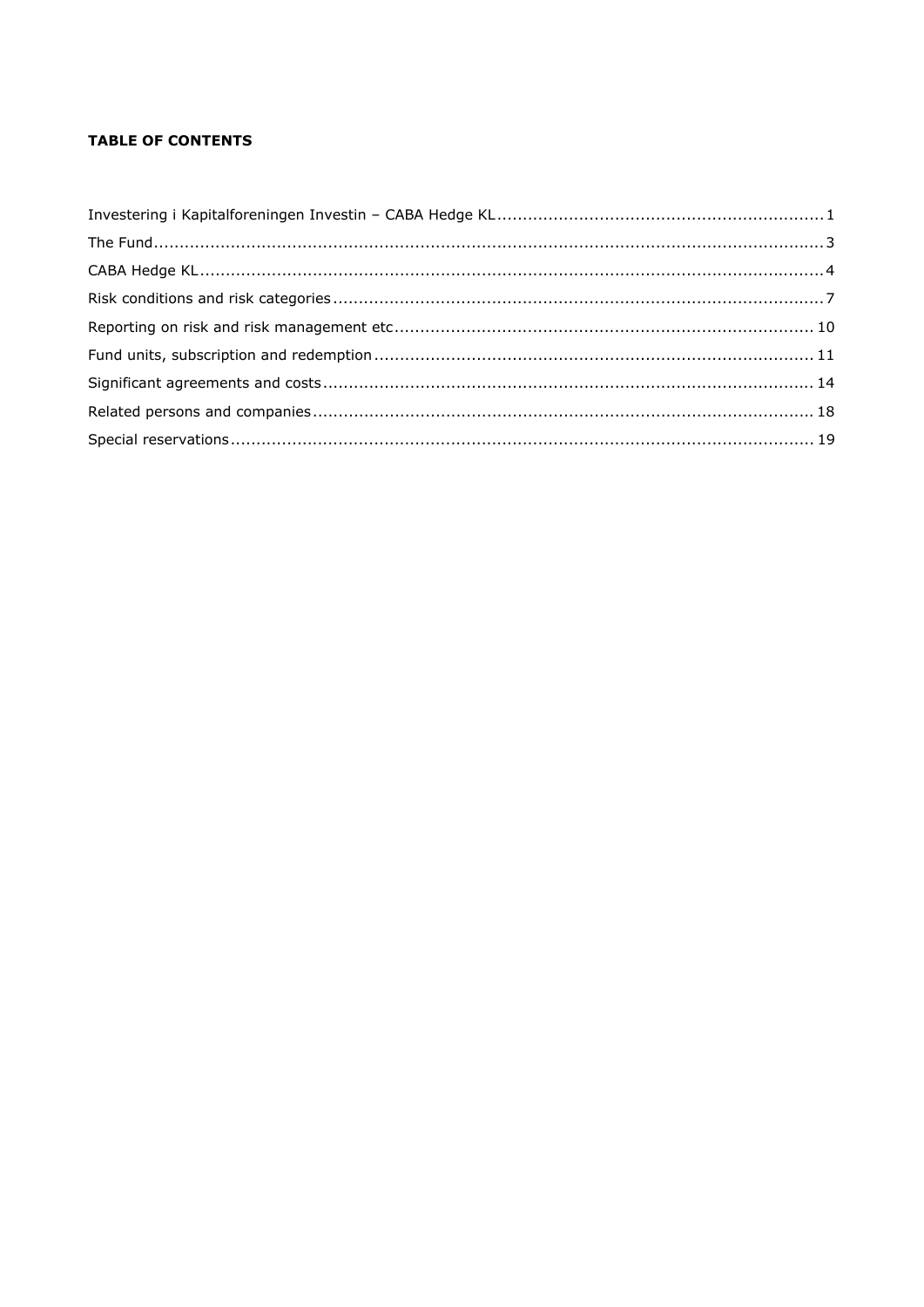# **TABLE OF CONTENTS**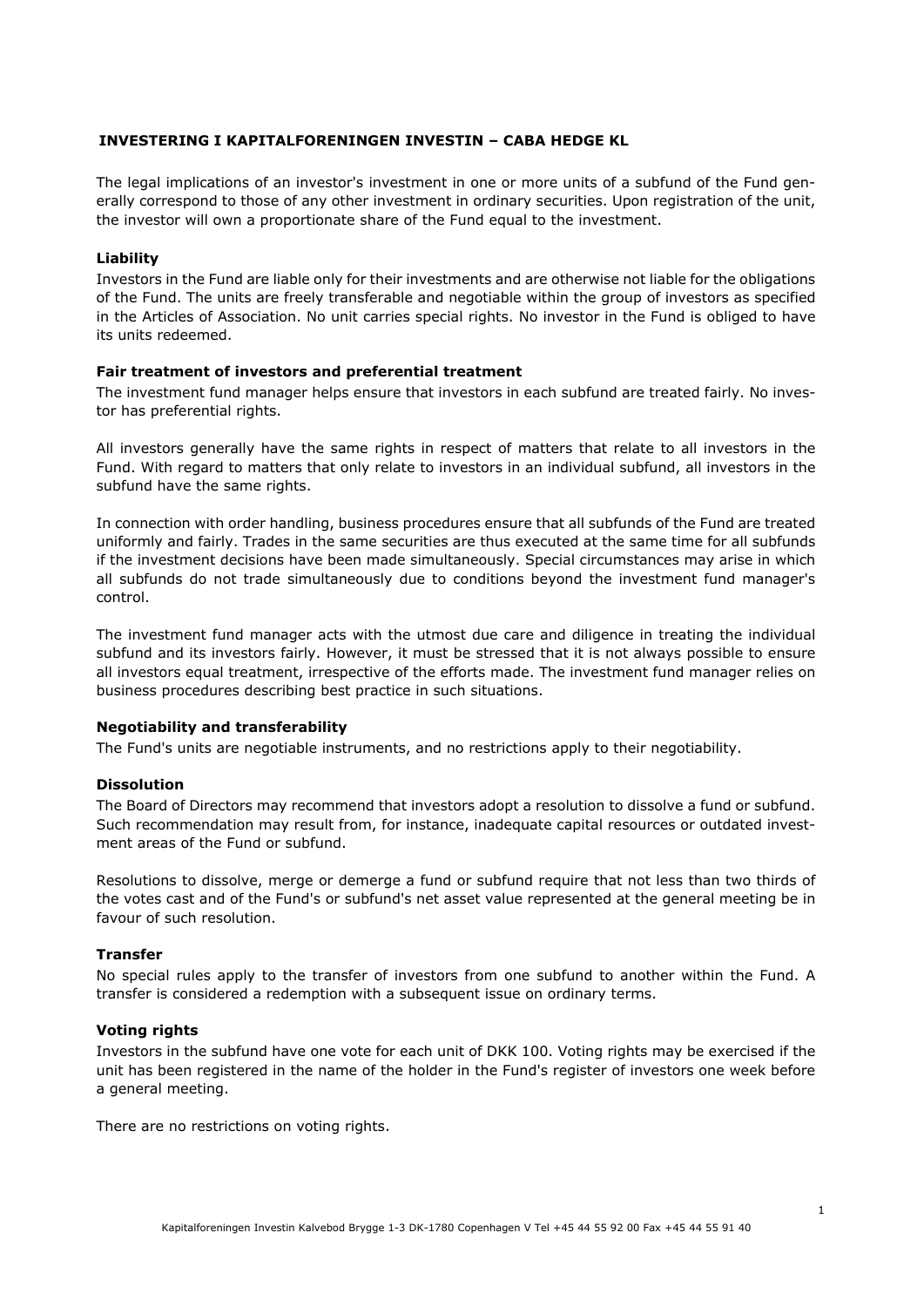# **INVESTERING I KAPITALFORENINGEN INVESTIN – CABA HEDGE KL**

The legal implications of an investor's investment in one or more units of a subfund of the Fund generally correspond to those of any other investment in ordinary securities. Upon registration of the unit, the investor will own a proportionate share of the Fund equal to the investment.

## **Liability**

Investors in the Fund are liable only for their investments and are otherwise not liable for the obligations of the Fund. The units are freely transferable and negotiable within the group of investors as specified in the Articles of Association. No unit carries special rights. No investor in the Fund is obliged to have its units redeemed.

## **Fair treatment of investors and preferential treatment**

The investment fund manager helps ensure that investors in each subfund are treated fairly. No investor has preferential rights.

All investors generally have the same rights in respect of matters that relate to all investors in the Fund. With regard to matters that only relate to investors in an individual subfund, all investors in the subfund have the same rights.

In connection with order handling, business procedures ensure that all subfunds of the Fund are treated uniformly and fairly. Trades in the same securities are thus executed at the same time for all subfunds if the investment decisions have been made simultaneously. Special circumstances may arise in which all subfunds do not trade simultaneously due to conditions beyond the investment fund manager's control.

The investment fund manager acts with the utmost due care and diligence in treating the individual subfund and its investors fairly. However, it must be stressed that it is not always possible to ensure all investors equal treatment, irrespective of the efforts made. The investment fund manager relies on business procedures describing best practice in such situations.

#### **Negotiability and transferability**

The Fund's units are negotiable instruments, and no restrictions apply to their negotiability.

#### **Dissolution**

The Board of Directors may recommend that investors adopt a resolution to dissolve a fund or subfund. Such recommendation may result from, for instance, inadequate capital resources or outdated investment areas of the Fund or subfund.

Resolutions to dissolve, merge or demerge a fund or subfund require that not less than two thirds of the votes cast and of the Fund's or subfund's net asset value represented at the general meeting be in favour of such resolution.

#### **Transfer**

No special rules apply to the transfer of investors from one subfund to another within the Fund. A transfer is considered a redemption with a subsequent issue on ordinary terms.

#### **Voting rights**

Investors in the subfund have one vote for each unit of DKK 100. Voting rights may be exercised if the unit has been registered in the name of the holder in the Fund's register of investors one week before a general meeting.

There are no restrictions on voting rights.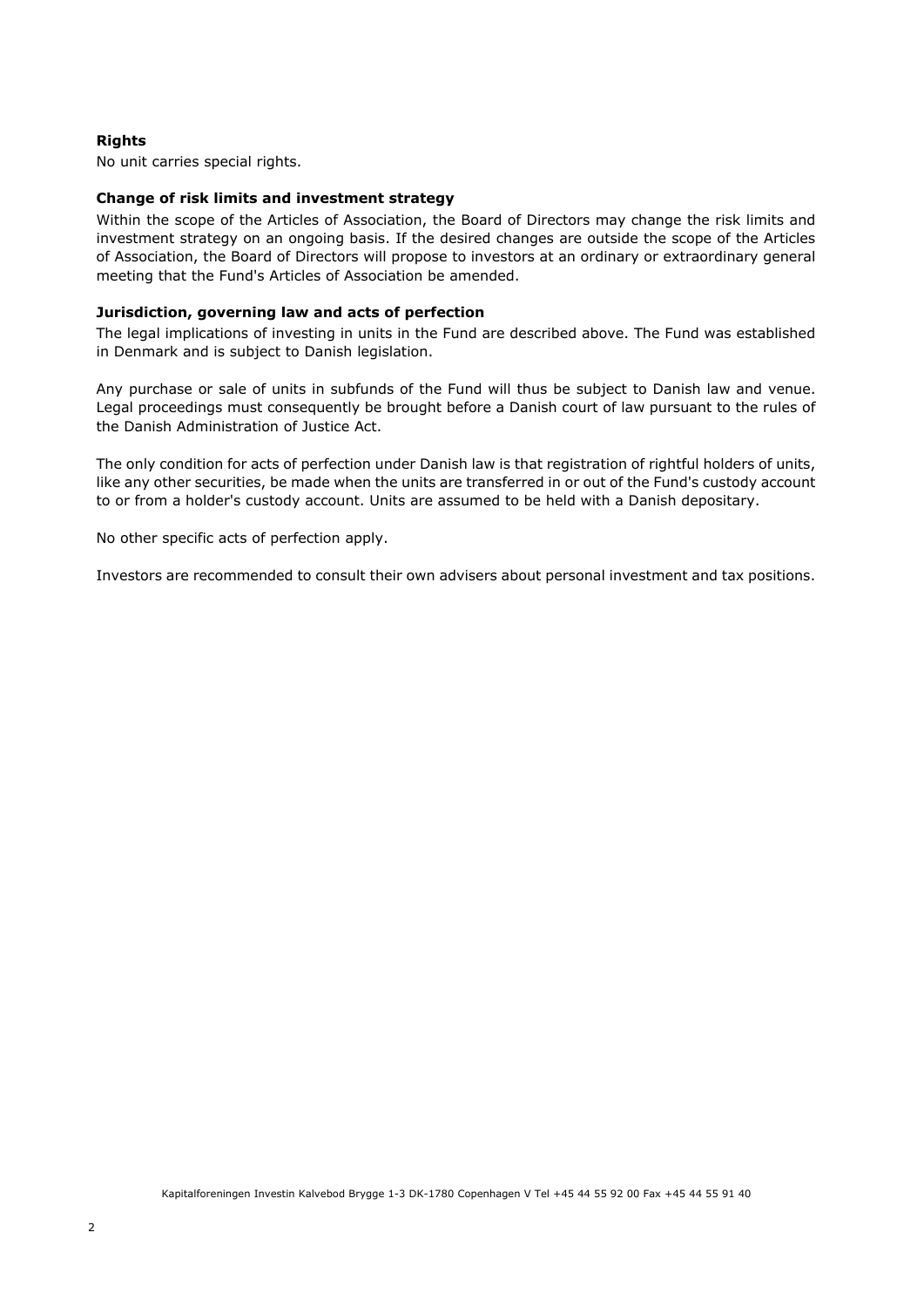# **Rights**

No unit carries special rights.

## **Change of risk limits and investment strategy**

Within the scope of the Articles of Association, the Board of Directors may change the risk limits and investment strategy on an ongoing basis. If the desired changes are outside the scope of the Articles of Association, the Board of Directors will propose to investors at an ordinary or extraordinary general meeting that the Fund's Articles of Association be amended.

## **Jurisdiction, governing law and acts of perfection**

The legal implications of investing in units in the Fund are described above. The Fund was established in Denmark and is subject to Danish legislation.

Any purchase or sale of units in subfunds of the Fund will thus be subject to Danish law and venue. Legal proceedings must consequently be brought before a Danish court of law pursuant to the rules of the Danish Administration of Justice Act.

The only condition for acts of perfection under Danish law is that registration of rightful holders of units, like any other securities, be made when the units are transferred in or out of the Fund's custody account to or from a holder's custody account. Units are assumed to be held with a Danish depositary.

No other specific acts of perfection apply.

Investors are recommended to consult their own advisers about personal investment and tax positions.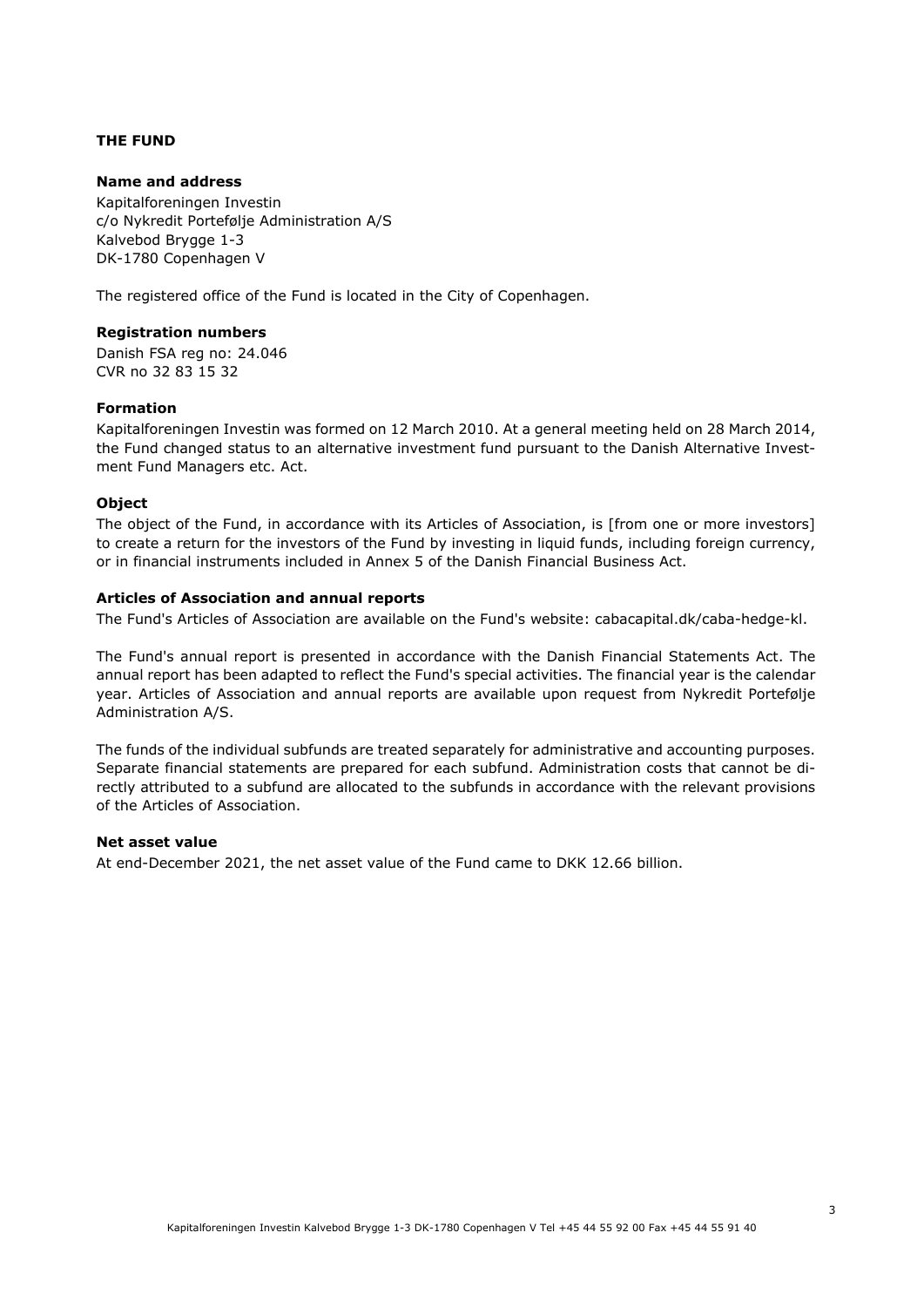# **THE FUND**

# **Name and address**

Kapitalforeningen Investin c/o Nykredit Portefølje Administration A/S Kalvebod Brygge 1-3 DK-1780 Copenhagen V

The registered office of the Fund is located in the City of Copenhagen.

# **Registration numbers**

Danish FSA reg no: 24.046 CVR no 32 83 15 32

# **Formation**

Kapitalforeningen Investin was formed on 12 March 2010. At a general meeting held on 28 March 2014, the Fund changed status to an alternative investment fund pursuant to the Danish Alternative Investment Fund Managers etc. Act.

# **Object**

The object of the Fund, in accordance with its Articles of Association, is [from one or more investors] to create a return for the investors of the Fund by investing in liquid funds, including foreign currency, or in financial instruments included in Annex 5 of the Danish Financial Business Act.

# **Articles of Association and annual reports**

The Fund's Articles of Association are available on the Fund's website: cabacapital.dk/caba-hedge-kl.

The Fund's annual report is presented in accordance with the Danish Financial Statements Act. The annual report has been adapted to reflect the Fund's special activities. The financial year is the calendar year. Articles of Association and annual reports are available upon request from Nykredit Portefølje Administration A/S.

The funds of the individual subfunds are treated separately for administrative and accounting purposes. Separate financial statements are prepared for each subfund. Administration costs that cannot be directly attributed to a subfund are allocated to the subfunds in accordance with the relevant provisions of the Articles of Association.

# **Net asset value**

At end-December 2021, the net asset value of the Fund came to DKK 12.66 billion.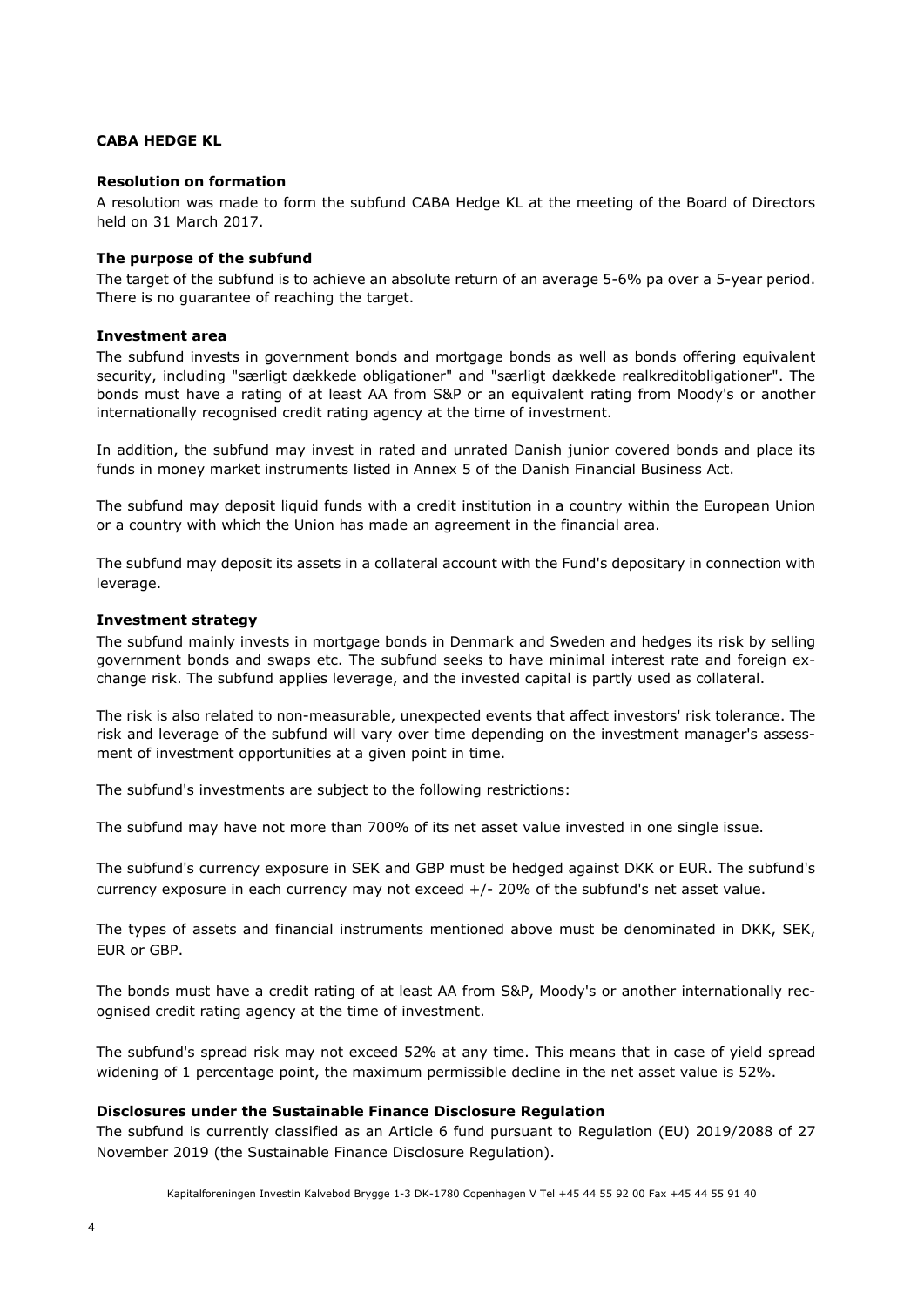# **CABA HEDGE KL**

## **Resolution on formation**

A resolution was made to form the subfund CABA Hedge KL at the meeting of the Board of Directors held on 31 March 2017.

## **The purpose of the subfund**

The target of the subfund is to achieve an absolute return of an average 5-6% pa over a 5-year period. There is no guarantee of reaching the target.

# **Investment area**

The subfund invests in government bonds and mortgage bonds as well as bonds offering equivalent security, including "særligt dækkede obligationer" and "særligt dækkede realkreditobligationer". The bonds must have a rating of at least AA from S&P or an equivalent rating from Moody's or another internationally recognised credit rating agency at the time of investment.

In addition, the subfund may invest in rated and unrated Danish junior covered bonds and place its funds in money market instruments listed in Annex 5 of the Danish Financial Business Act.

The subfund may deposit liquid funds with a credit institution in a country within the European Union or a country with which the Union has made an agreement in the financial area.

The subfund may deposit its assets in a collateral account with the Fund's depositary in connection with leverage.

### **Investment strategy**

The subfund mainly invests in mortgage bonds in Denmark and Sweden and hedges its risk by selling government bonds and swaps etc. The subfund seeks to have minimal interest rate and foreign exchange risk. The subfund applies leverage, and the invested capital is partly used as collateral.

The risk is also related to non-measurable, unexpected events that affect investors' risk tolerance. The risk and leverage of the subfund will vary over time depending on the investment manager's assessment of investment opportunities at a given point in time.

The subfund's investments are subject to the following restrictions:

The subfund may have not more than 700% of its net asset value invested in one single issue.

The subfund's currency exposure in SEK and GBP must be hedged against DKK or EUR. The subfund's currency exposure in each currency may not exceed +/- 20% of the subfund's net asset value.

The types of assets and financial instruments mentioned above must be denominated in DKK, SEK, EUR or GBP.

The bonds must have a credit rating of at least AA from S&P, Moody's or another internationally recognised credit rating agency at the time of investment.

The subfund's spread risk may not exceed 52% at any time. This means that in case of yield spread widening of 1 percentage point, the maximum permissible decline in the net asset value is 52%.

# **Disclosures under the Sustainable Finance Disclosure Regulation**

The subfund is currently classified as an Article 6 fund pursuant to Regulation (EU) 2019/2088 of 27 November 2019 (the Sustainable Finance Disclosure Regulation).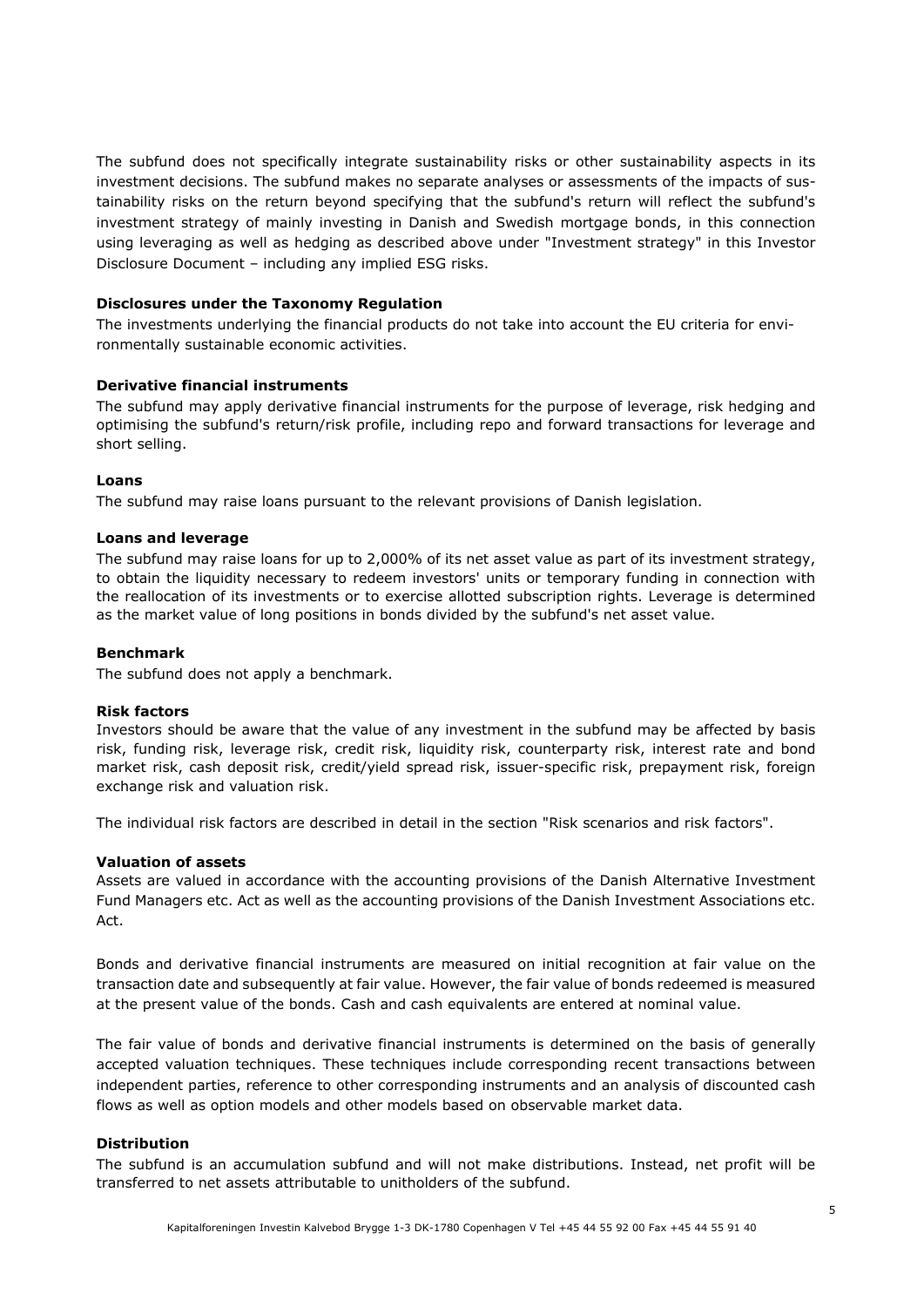The subfund does not specifically integrate sustainability risks or other sustainability aspects in its investment decisions. The subfund makes no separate analyses or assessments of the impacts of sustainability risks on the return beyond specifying that the subfund's return will reflect the subfund's investment strategy of mainly investing in Danish and Swedish mortgage bonds, in this connection using leveraging as well as hedging as described above under "Investment strategy" in this Investor Disclosure Document – including any implied ESG risks.

# **Disclosures under the Taxonomy Regulation**

The investments underlying the financial products do not take into account the EU criteria for environmentally sustainable economic activities.

# **Derivative financial instruments**

The subfund may apply derivative financial instruments for the purpose of leverage, risk hedging and optimising the subfund's return/risk profile, including repo and forward transactions for leverage and short selling.

# **Loans**

The subfund may raise loans pursuant to the relevant provisions of Danish legislation.

# **Loans and leverage**

The subfund may raise loans for up to 2,000% of its net asset value as part of its investment strategy, to obtain the liquidity necessary to redeem investors' units or temporary funding in connection with the reallocation of its investments or to exercise allotted subscription rights. Leverage is determined as the market value of long positions in bonds divided by the subfund's net asset value.

# **Benchmark**

The subfund does not apply a benchmark.

# **Risk factors**

Investors should be aware that the value of any investment in the subfund may be affected by basis risk, funding risk, leverage risk, credit risk, liquidity risk, counterparty risk, interest rate and bond market risk, cash deposit risk, credit/yield spread risk, issuer-specific risk, prepayment risk, foreign exchange risk and valuation risk.

The individual risk factors are described in detail in the section "Risk scenarios and risk factors".

# **Valuation of assets**

Assets are valued in accordance with the accounting provisions of the Danish Alternative Investment Fund Managers etc. Act as well as the accounting provisions of the Danish Investment Associations etc. Act.

Bonds and derivative financial instruments are measured on initial recognition at fair value on the transaction date and subsequently at fair value. However, the fair value of bonds redeemed is measured at the present value of the bonds. Cash and cash equivalents are entered at nominal value.

The fair value of bonds and derivative financial instruments is determined on the basis of generally accepted valuation techniques. These techniques include corresponding recent transactions between independent parties, reference to other corresponding instruments and an analysis of discounted cash flows as well as option models and other models based on observable market data.

# **Distribution**

The subfund is an accumulation subfund and will not make distributions. Instead, net profit will be transferred to net assets attributable to unitholders of the subfund.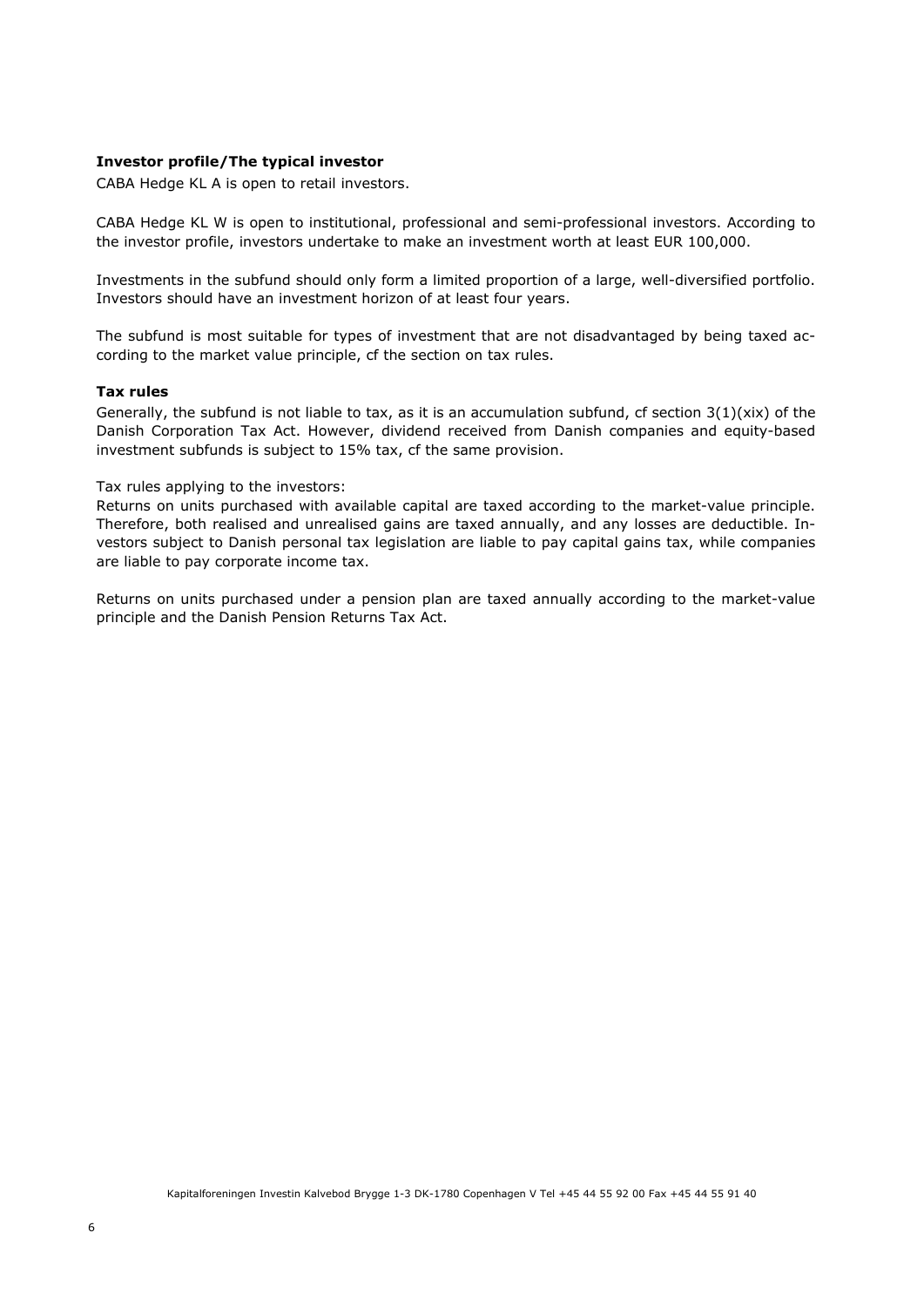# **Investor profile/The typical investor**

CABA Hedge KL A is open to retail investors.

CABA Hedge KL W is open to institutional, professional and semi-professional investors. According to the investor profile, investors undertake to make an investment worth at least EUR 100,000.

Investments in the subfund should only form a limited proportion of a large, well-diversified portfolio. Investors should have an investment horizon of at least four years.

The subfund is most suitable for types of investment that are not disadvantaged by being taxed according to the market value principle, cf the section on tax rules.

#### **Tax rules**

Generally, the subfund is not liable to tax, as it is an accumulation subfund, cf section  $3(1)(\text{six})$  of the Danish Corporation Tax Act. However, dividend received from Danish companies and equity-based investment subfunds is subject to 15% tax, cf the same provision.

Tax rules applying to the investors:

Returns on units purchased with available capital are taxed according to the market-value principle. Therefore, both realised and unrealised gains are taxed annually, and any losses are deductible. Investors subject to Danish personal tax legislation are liable to pay capital gains tax, while companies are liable to pay corporate income tax.

Returns on units purchased under a pension plan are taxed annually according to the market-value principle and the Danish Pension Returns Tax Act.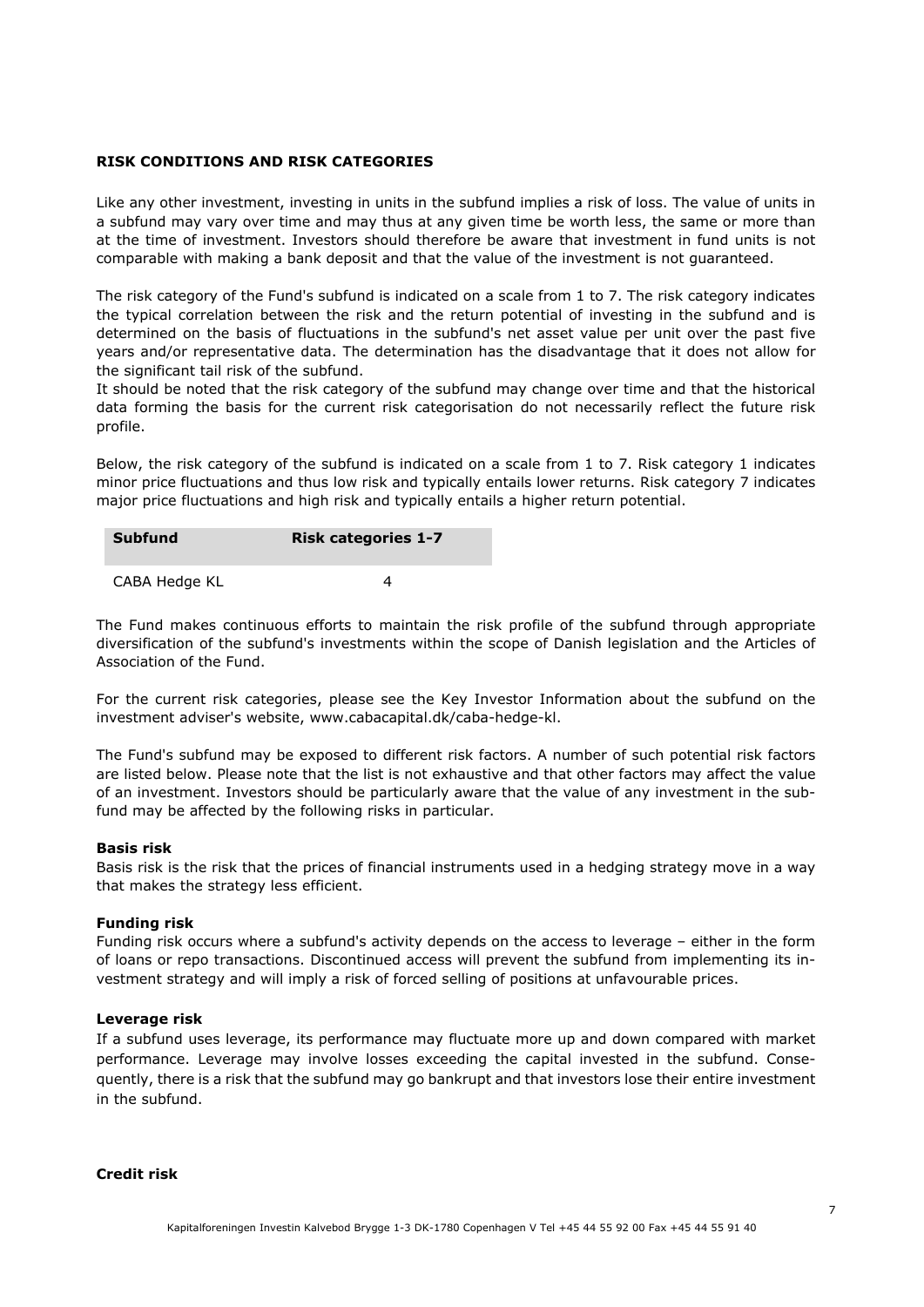# **RISK CONDITIONS AND RISK CATEGORIES**

Like any other investment, investing in units in the subfund implies a risk of loss. The value of units in a subfund may vary over time and may thus at any given time be worth less, the same or more than at the time of investment. Investors should therefore be aware that investment in fund units is not comparable with making a bank deposit and that the value of the investment is not guaranteed.

The risk category of the Fund's subfund is indicated on a scale from 1 to 7. The risk category indicates the typical correlation between the risk and the return potential of investing in the subfund and is determined on the basis of fluctuations in the subfund's net asset value per unit over the past five years and/or representative data. The determination has the disadvantage that it does not allow for the significant tail risk of the subfund.

It should be noted that the risk category of the subfund may change over time and that the historical data forming the basis for the current risk categorisation do not necessarily reflect the future risk profile.

Below, the risk category of the subfund is indicated on a scale from 1 to 7. Risk category 1 indicates minor price fluctuations and thus low risk and typically entails lower returns. Risk category 7 indicates major price fluctuations and high risk and typically entails a higher return potential.

| <b>Subfund</b> | <b>Risk categories 1-7</b> |
|----------------|----------------------------|
| CABA Hedge KL  |                            |

The Fund makes continuous efforts to maintain the risk profile of the subfund through appropriate diversification of the subfund's investments within the scope of Danish legislation and the Articles of Association of the Fund.

For the current risk categories, please see the Key Investor Information about the subfund on the investment adviser's website, www.cabacapital.dk/caba-hedge-kl.

The Fund's subfund may be exposed to different risk factors. A number of such potential risk factors are listed below. Please note that the list is not exhaustive and that other factors may affect the value of an investment. Investors should be particularly aware that the value of any investment in the subfund may be affected by the following risks in particular.

# **Basis risk**

Basis risk is the risk that the prices of financial instruments used in a hedging strategy move in a way that makes the strategy less efficient.

# **Funding risk**

Funding risk occurs where a subfund's activity depends on the access to leverage – either in the form of loans or repo transactions. Discontinued access will prevent the subfund from implementing its investment strategy and will imply a risk of forced selling of positions at unfavourable prices.

#### **Leverage risk**

If a subfund uses leverage, its performance may fluctuate more up and down compared with market performance. Leverage may involve losses exceeding the capital invested in the subfund. Consequently, there is a risk that the subfund may go bankrupt and that investors lose their entire investment in the subfund.

## **Credit risk**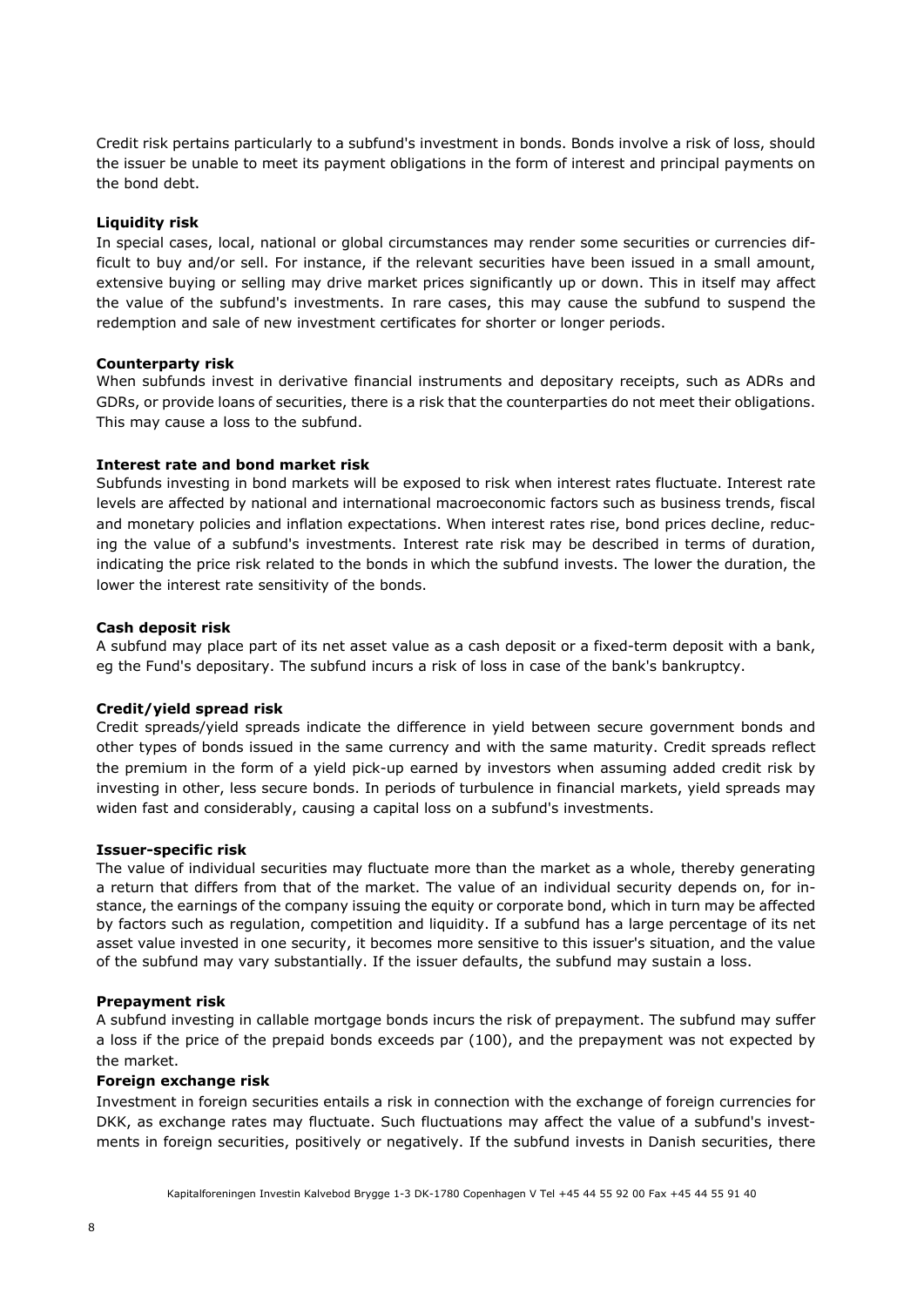Credit risk pertains particularly to a subfund's investment in bonds. Bonds involve a risk of loss, should the issuer be unable to meet its payment obligations in the form of interest and principal payments on the bond debt.

# **Liquidity risk**

In special cases, local, national or global circumstances may render some securities or currencies difficult to buy and/or sell. For instance, if the relevant securities have been issued in a small amount, extensive buying or selling may drive market prices significantly up or down. This in itself may affect the value of the subfund's investments. In rare cases, this may cause the subfund to suspend the redemption and sale of new investment certificates for shorter or longer periods.

# **Counterparty risk**

When subfunds invest in derivative financial instruments and depositary receipts, such as ADRs and GDRs, or provide loans of securities, there is a risk that the counterparties do not meet their obligations. This may cause a loss to the subfund.

# **Interest rate and bond market risk**

Subfunds investing in bond markets will be exposed to risk when interest rates fluctuate. Interest rate levels are affected by national and international macroeconomic factors such as business trends, fiscal and monetary policies and inflation expectations. When interest rates rise, bond prices decline, reducing the value of a subfund's investments. Interest rate risk may be described in terms of duration, indicating the price risk related to the bonds in which the subfund invests. The lower the duration, the lower the interest rate sensitivity of the bonds.

# **Cash deposit risk**

A subfund may place part of its net asset value as a cash deposit or a fixed-term deposit with a bank, eg the Fund's depositary. The subfund incurs a risk of loss in case of the bank's bankruptcy.

# **Credit/yield spread risk**

Credit spreads/yield spreads indicate the difference in yield between secure government bonds and other types of bonds issued in the same currency and with the same maturity. Credit spreads reflect the premium in the form of a yield pick-up earned by investors when assuming added credit risk by investing in other, less secure bonds. In periods of turbulence in financial markets, yield spreads may widen fast and considerably, causing a capital loss on a subfund's investments.

# **Issuer-specific risk**

The value of individual securities may fluctuate more than the market as a whole, thereby generating a return that differs from that of the market. The value of an individual security depends on, for instance, the earnings of the company issuing the equity or corporate bond, which in turn may be affected by factors such as regulation, competition and liquidity. If a subfund has a large percentage of its net asset value invested in one security, it becomes more sensitive to this issuer's situation, and the value of the subfund may vary substantially. If the issuer defaults, the subfund may sustain a loss.

# **Prepayment risk**

A subfund investing in callable mortgage bonds incurs the risk of prepayment. The subfund may suffer a loss if the price of the prepaid bonds exceeds par (100), and the prepayment was not expected by the market.

# **Foreign exchange risk**

Investment in foreign securities entails a risk in connection with the exchange of foreign currencies for DKK, as exchange rates may fluctuate. Such fluctuations may affect the value of a subfund's investments in foreign securities, positively or negatively. If the subfund invests in Danish securities, there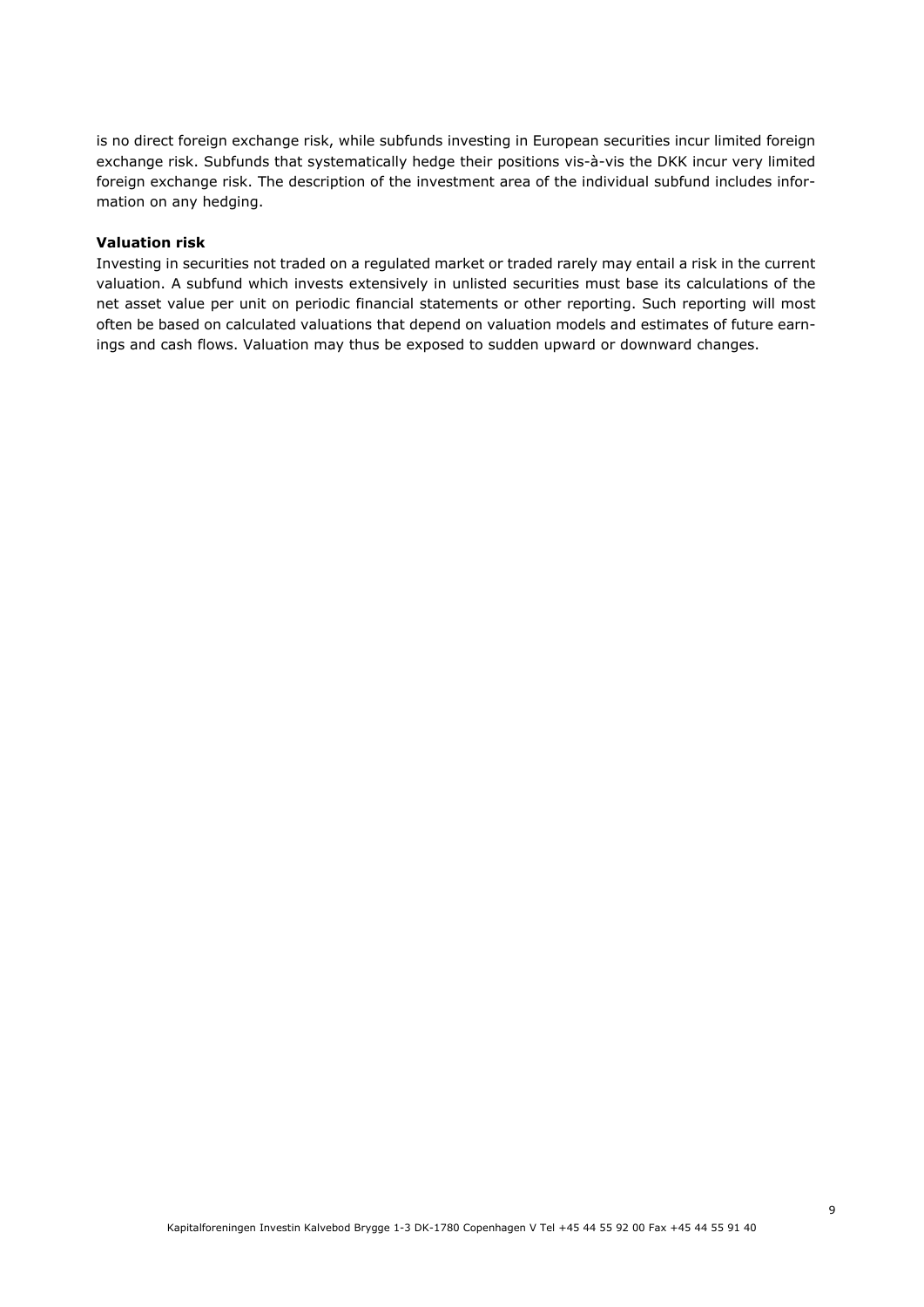is no direct foreign exchange risk, while subfunds investing in European securities incur limited foreign exchange risk. Subfunds that systematically hedge their positions vis-à-vis the DKK incur very limited foreign exchange risk. The description of the investment area of the individual subfund includes information on any hedging.

# **Valuation risk**

Investing in securities not traded on a regulated market or traded rarely may entail a risk in the current valuation. A subfund which invests extensively in unlisted securities must base its calculations of the net asset value per unit on periodic financial statements or other reporting. Such reporting will most often be based on calculated valuations that depend on valuation models and estimates of future earnings and cash flows. Valuation may thus be exposed to sudden upward or downward changes.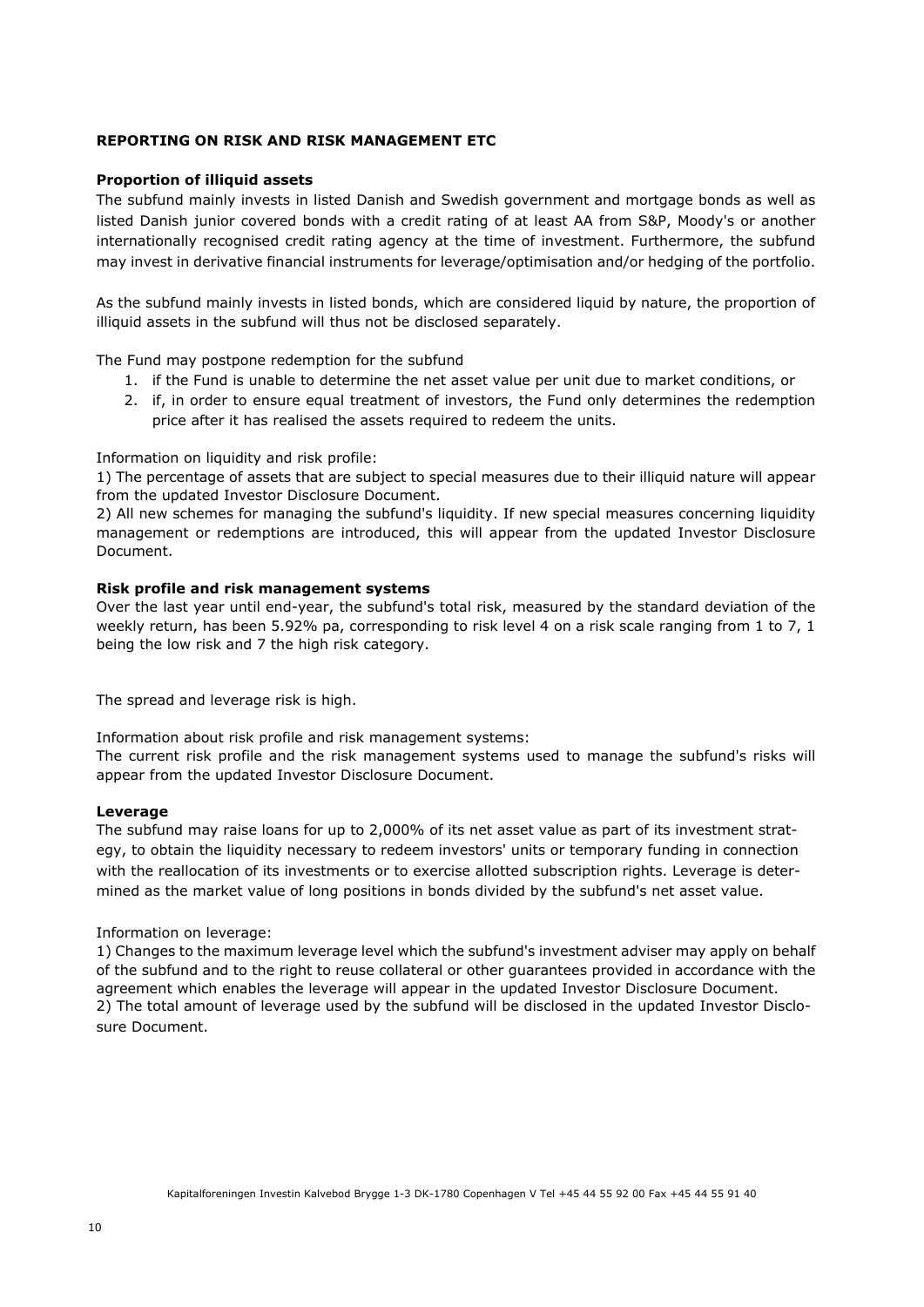# **REPORTING ON RISK AND RISK MANAGEMENT ETC**

# **Proportion of illiquid assets**

The subfund mainly invests in listed Danish and Swedish government and mortgage bonds as well as listed Danish junior covered bonds with a credit rating of at least AA from S&P, Moody's or another internationally recognised credit rating agency at the time of investment. Furthermore, the subfund may invest in derivative financial instruments for leverage/optimisation and/or hedging of the portfolio.

As the subfund mainly invests in listed bonds, which are considered liquid by nature, the proportion of illiquid assets in the subfund will thus not be disclosed separately.

The Fund may postpone redemption for the subfund

- 1. if the Fund is unable to determine the net asset value per unit due to market conditions, or
- 2. if, in order to ensure equal treatment of investors, the Fund only determines the redemption price after it has realised the assets required to redeem the units.

Information on liquidity and risk profile:

1) The percentage of assets that are subject to special measures due to their illiquid nature will appear from the updated Investor Disclosure Document.

2) All new schemes for managing the subfund's liquidity. If new special measures concerning liquidity management or redemptions are introduced, this will appear from the updated Investor Disclosure Document.

# **Risk profile and risk management systems**

Over the last year until end-year, the subfund's total risk, measured by the standard deviation of the weekly return, has been 5.92% pa, corresponding to risk level 4 on a risk scale ranging from 1 to 7, 1 being the low risk and 7 the high risk category.

The spread and leverage risk is high.

Information about risk profile and risk management systems:

The current risk profile and the risk management systems used to manage the subfund's risks will appear from the updated Investor Disclosure Document.

#### **Leverage**

The subfund may raise loans for up to 2,000% of its net asset value as part of its investment strategy, to obtain the liquidity necessary to redeem investors' units or temporary funding in connection with the reallocation of its investments or to exercise allotted subscription rights. Leverage is determined as the market value of long positions in bonds divided by the subfund's net asset value.

#### Information on leverage:

1) Changes to the maximum leverage level which the subfund's investment adviser may apply on behalf of the subfund and to the right to reuse collateral or other guarantees provided in accordance with the agreement which enables the leverage will appear in the updated Investor Disclosure Document. 2) The total amount of leverage used by the subfund will be disclosed in the updated Investor Disclosure Document.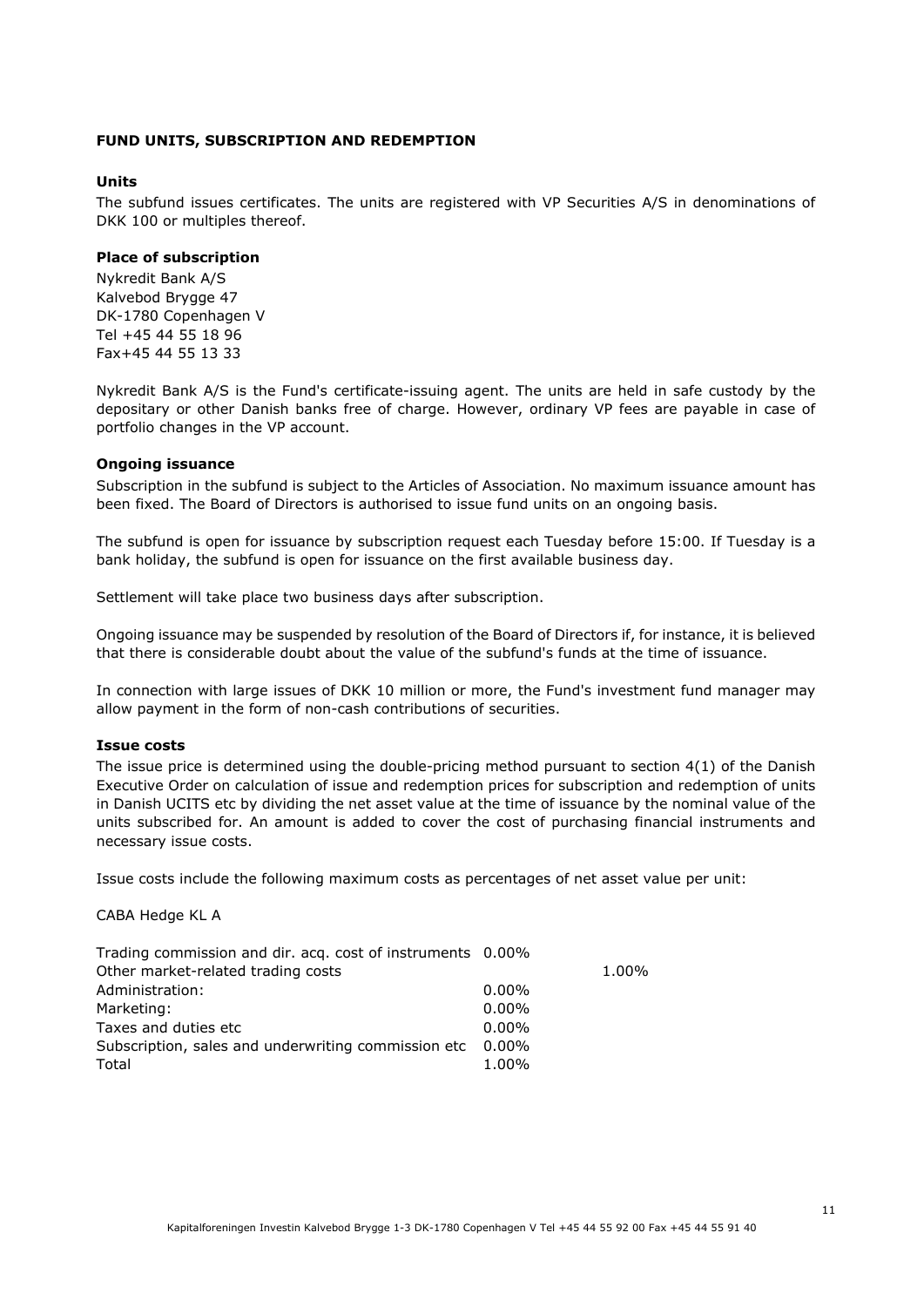# **FUND UNITS, SUBSCRIPTION AND REDEMPTION**

# **Units**

The subfund issues certificates. The units are registered with VP Securities A/S in denominations of DKK 100 or multiples thereof.

#### **Place of subscription**

Nykredit Bank A/S Kalvebod Brygge 47 DK-1780 Copenhagen V Tel +45 44 55 18 96 Fax+45 44 55 13 33

Nykredit Bank A/S is the Fund's certificate-issuing agent. The units are held in safe custody by the depositary or other Danish banks free of charge. However, ordinary VP fees are payable in case of portfolio changes in the VP account.

#### **Ongoing issuance**

Subscription in the subfund is subject to the Articles of Association. No maximum issuance amount has been fixed. The Board of Directors is authorised to issue fund units on an ongoing basis.

The subfund is open for issuance by subscription request each Tuesday before 15:00. If Tuesday is a bank holiday, the subfund is open for issuance on the first available business day.

Settlement will take place two business days after subscription.

Ongoing issuance may be suspended by resolution of the Board of Directors if, for instance, it is believed that there is considerable doubt about the value of the subfund's funds at the time of issuance.

In connection with large issues of DKK 10 million or more, the Fund's investment fund manager may allow payment in the form of non-cash contributions of securities.

#### **Issue costs**

The issue price is determined using the double-pricing method pursuant to section 4(1) of the Danish Executive Order on calculation of issue and redemption prices for subscription and redemption of units in Danish UCITS etc by dividing the net asset value at the time of issuance by the nominal value of the units subscribed for. An amount is added to cover the cost of purchasing financial instruments and necessary issue costs.

Issue costs include the following maximum costs as percentages of net asset value per unit:

CABA Hedge KL A

| Trading commission and dir. acq. cost of instruments 0.00% |          |       |
|------------------------------------------------------------|----------|-------|
| Other market-related trading costs                         |          | 1.00% |
| Administration:                                            | $0.00\%$ |       |
| Marketing:                                                 | $0.00\%$ |       |
| Taxes and duties etc                                       | $0.00\%$ |       |
| Subscription, sales and underwriting commission etc 0.00%  |          |       |
| Total                                                      | 1.00%    |       |

Kapitalforeningen Investin Kalvebod Brygge 1-3 DK-1780 Copenhagen V Tel +45 44 55 92 00 Fax +45 44 55 91 40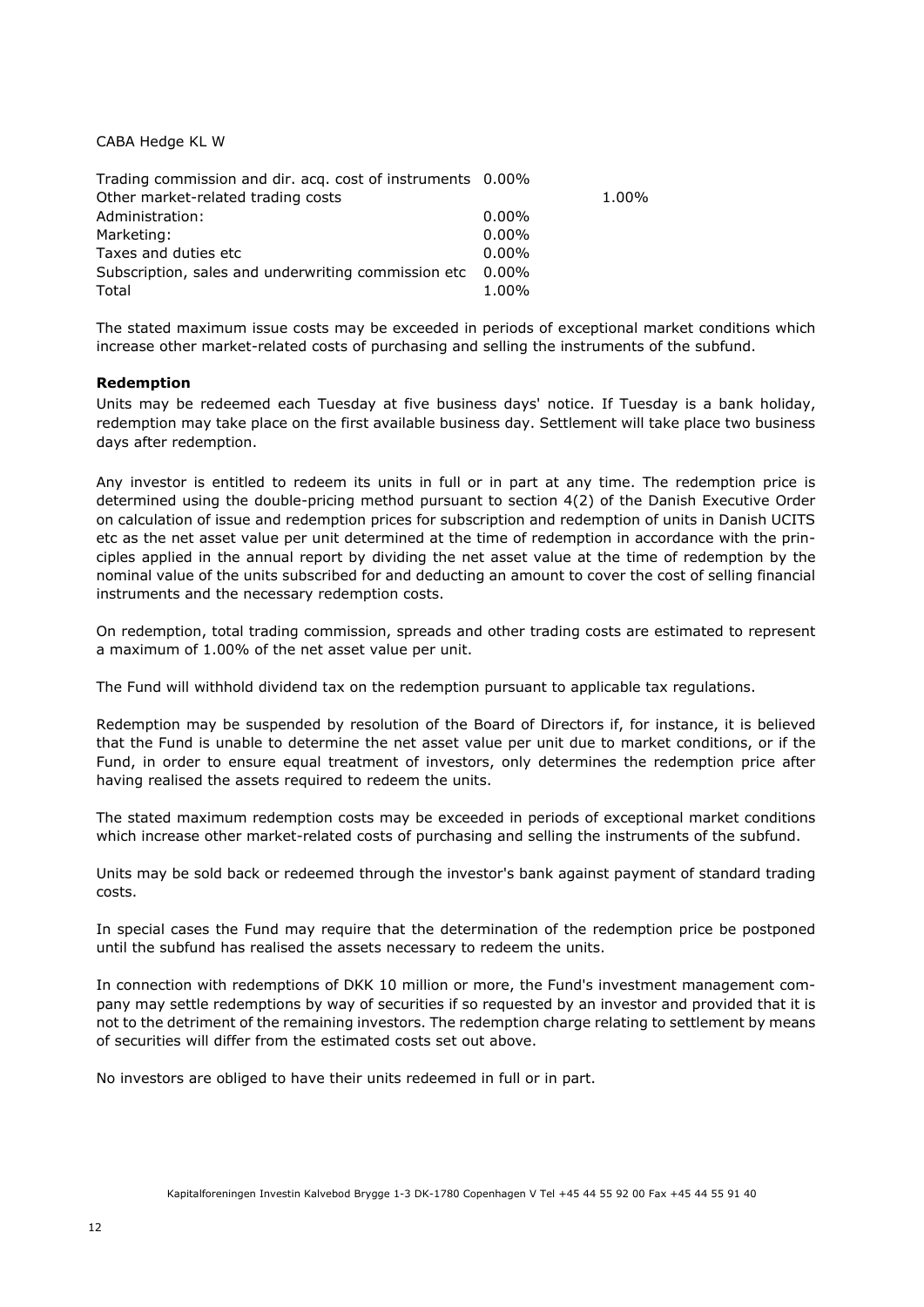CABA Hedge KL W

| Trading commission and dir. acg. cost of instruments 0.00% |          |       |
|------------------------------------------------------------|----------|-------|
| Other market-related trading costs                         |          | 1.00% |
| Administration:                                            | $0.00\%$ |       |
| Marketing:                                                 | $0.00\%$ |       |
| Taxes and duties etc                                       | $0.00\%$ |       |
| Subscription, sales and underwriting commission etc 0.00%  |          |       |
| Total                                                      | $1.00\%$ |       |

The stated maximum issue costs may be exceeded in periods of exceptional market conditions which increase other market-related costs of purchasing and selling the instruments of the subfund.

# **Redemption**

Units may be redeemed each Tuesday at five business days' notice. If Tuesday is a bank holiday, redemption may take place on the first available business day. Settlement will take place two business days after redemption.

Any investor is entitled to redeem its units in full or in part at any time. The redemption price is determined using the double-pricing method pursuant to section 4(2) of the Danish Executive Order on calculation of issue and redemption prices for subscription and redemption of units in Danish UCITS etc as the net asset value per unit determined at the time of redemption in accordance with the principles applied in the annual report by dividing the net asset value at the time of redemption by the nominal value of the units subscribed for and deducting an amount to cover the cost of selling financial instruments and the necessary redemption costs.

On redemption, total trading commission, spreads and other trading costs are estimated to represent a maximum of 1.00% of the net asset value per unit.

The Fund will withhold dividend tax on the redemption pursuant to applicable tax regulations.

Redemption may be suspended by resolution of the Board of Directors if, for instance, it is believed that the Fund is unable to determine the net asset value per unit due to market conditions, or if the Fund, in order to ensure equal treatment of investors, only determines the redemption price after having realised the assets required to redeem the units.

The stated maximum redemption costs may be exceeded in periods of exceptional market conditions which increase other market-related costs of purchasing and selling the instruments of the subfund.

Units may be sold back or redeemed through the investor's bank against payment of standard trading costs.

In special cases the Fund may require that the determination of the redemption price be postponed until the subfund has realised the assets necessary to redeem the units.

In connection with redemptions of DKK 10 million or more, the Fund's investment management company may settle redemptions by way of securities if so requested by an investor and provided that it is not to the detriment of the remaining investors. The redemption charge relating to settlement by means of securities will differ from the estimated costs set out above.

No investors are obliged to have their units redeemed in full or in part.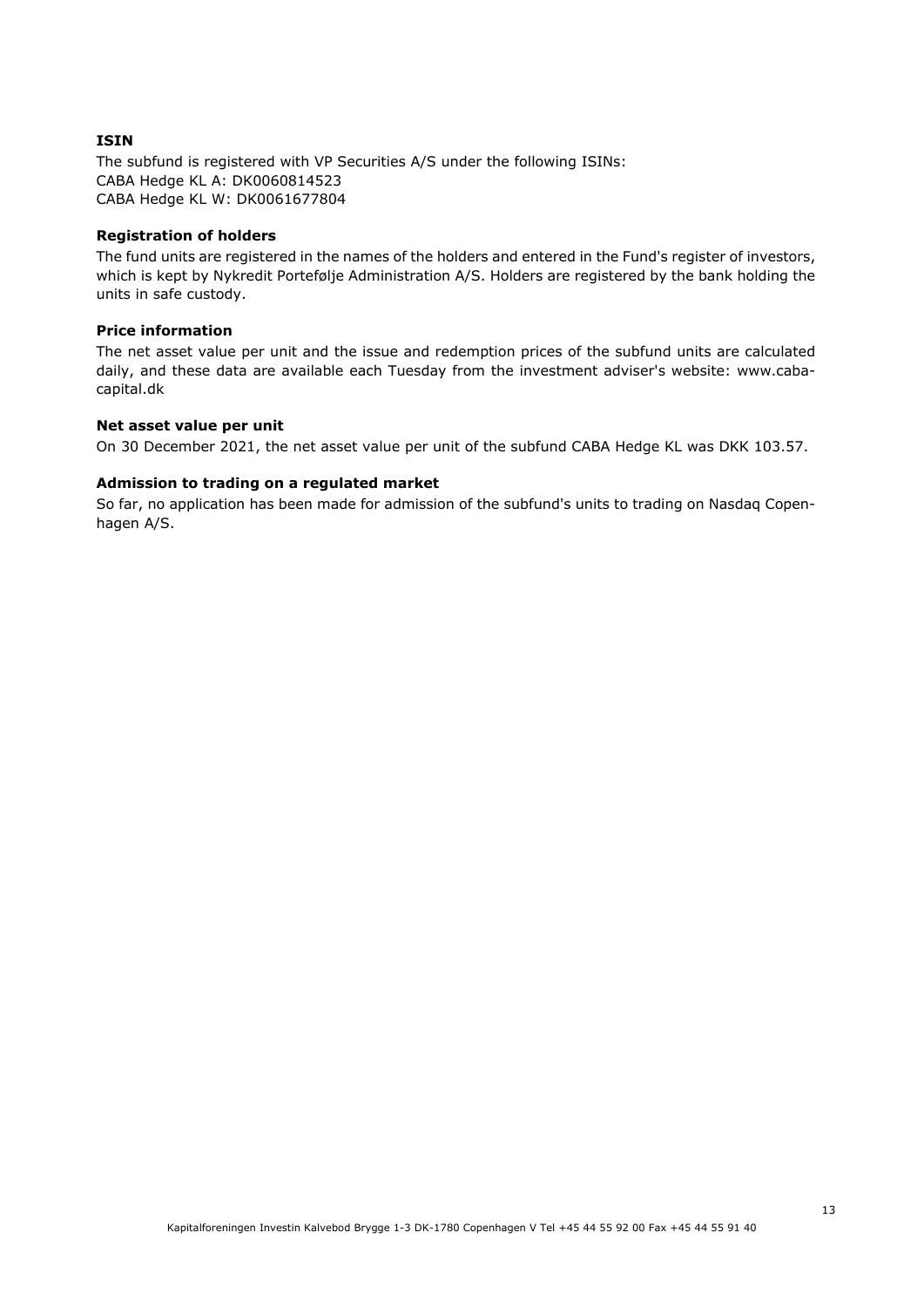## **ISIN**

The subfund is registered with VP Securities A/S under the following ISINs: CABA Hedge KL A: DK0060814523 CABA Hedge KL W: DK0061677804

## **Registration of holders**

The fund units are registered in the names of the holders and entered in the Fund's register of investors, which is kept by Nykredit Portefølje Administration A/S. Holders are registered by the bank holding the units in safe custody.

# **Price information**

The net asset value per unit and the issue and redemption prices of the subfund units are calculated daily, and these data are available each Tuesday from the investment adviser's website: www.cabacapital.dk

#### **Net asset value per unit**

On 30 December 2021, the net asset value per unit of the subfund CABA Hedge KL was DKK 103.57.

# **Admission to trading on a regulated market**

So far, no application has been made for admission of the subfund's units to trading on Nasdaq Copenhagen A/S.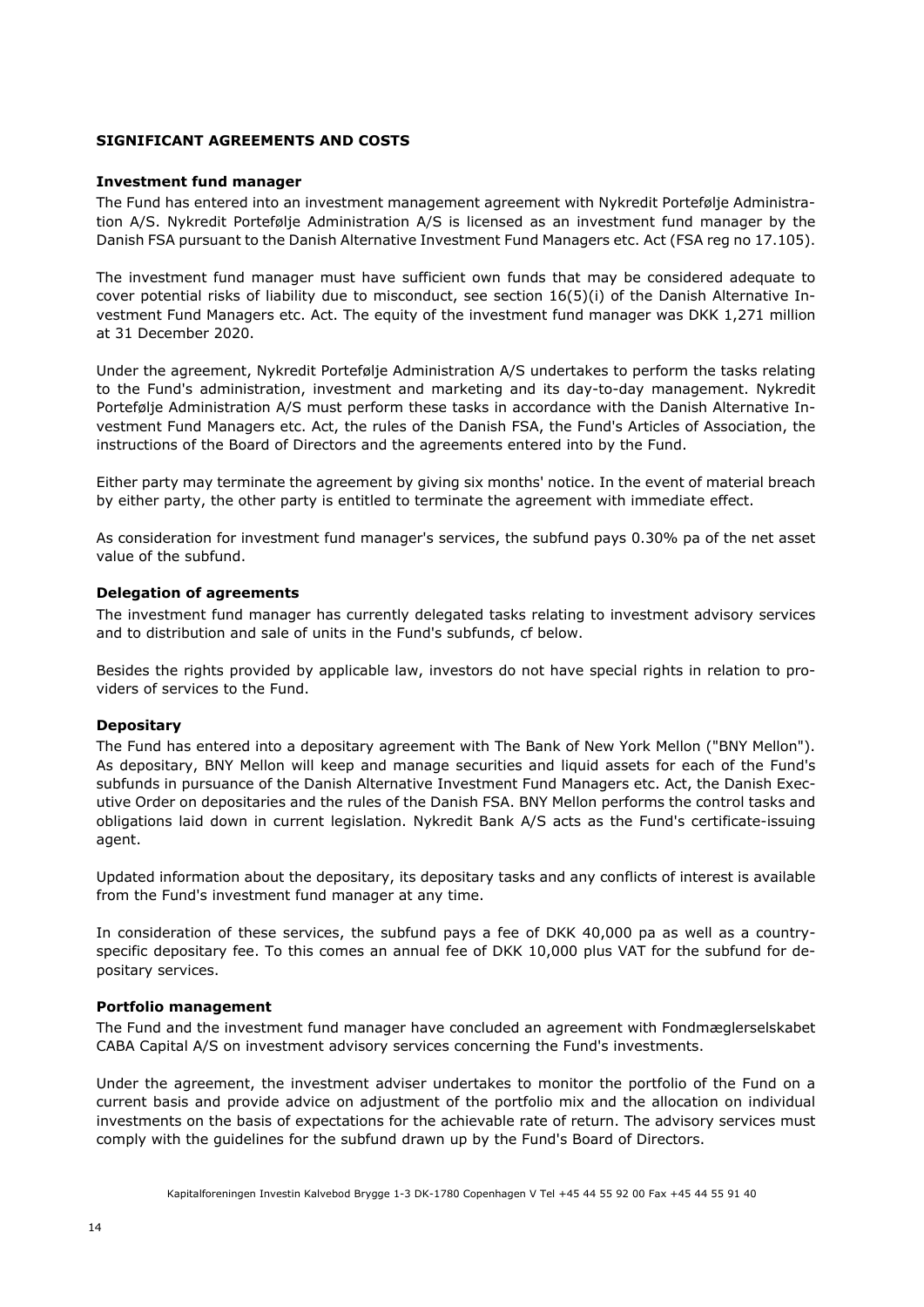# **SIGNIFICANT AGREEMENTS AND COSTS**

## **Investment fund manager**

The Fund has entered into an investment management agreement with Nykredit Portefølje Administration A/S. Nykredit Portefølje Administration A/S is licensed as an investment fund manager by the Danish FSA pursuant to the Danish Alternative Investment Fund Managers etc. Act (FSA reg no 17.105).

The investment fund manager must have sufficient own funds that may be considered adequate to cover potential risks of liability due to misconduct, see section 16(5)(i) of the Danish Alternative Investment Fund Managers etc. Act. The equity of the investment fund manager was DKK 1,271 million at 31 December 2020.

Under the agreement, Nykredit Portefølje Administration A/S undertakes to perform the tasks relating to the Fund's administration, investment and marketing and its day-to-day management. Nykredit Portefølje Administration A/S must perform these tasks in accordance with the Danish Alternative Investment Fund Managers etc. Act, the rules of the Danish FSA, the Fund's Articles of Association, the instructions of the Board of Directors and the agreements entered into by the Fund.

Either party may terminate the agreement by giving six months' notice. In the event of material breach by either party, the other party is entitled to terminate the agreement with immediate effect.

As consideration for investment fund manager's services, the subfund pays 0.30% pa of the net asset value of the subfund.

#### **Delegation of agreements**

The investment fund manager has currently delegated tasks relating to investment advisory services and to distribution and sale of units in the Fund's subfunds, cf below.

Besides the rights provided by applicable law, investors do not have special rights in relation to providers of services to the Fund.

#### **Depositary**

The Fund has entered into a depositary agreement with The Bank of New York Mellon ("BNY Mellon"). As depositary, BNY Mellon will keep and manage securities and liquid assets for each of the Fund's subfunds in pursuance of the Danish Alternative Investment Fund Managers etc. Act, the Danish Executive Order on depositaries and the rules of the Danish FSA. BNY Mellon performs the control tasks and obligations laid down in current legislation. Nykredit Bank A/S acts as the Fund's certificate-issuing agent.

Updated information about the depositary, its depositary tasks and any conflicts of interest is available from the Fund's investment fund manager at any time.

In consideration of these services, the subfund pays a fee of DKK 40,000 pa as well as a countryspecific depositary fee. To this comes an annual fee of DKK 10,000 plus VAT for the subfund for depositary services.

#### **Portfolio management**

The Fund and the investment fund manager have concluded an agreement with Fondmæglerselskabet CABA Capital A/S on investment advisory services concerning the Fund's investments.

Under the agreement, the investment adviser undertakes to monitor the portfolio of the Fund on a current basis and provide advice on adjustment of the portfolio mix and the allocation on individual investments on the basis of expectations for the achievable rate of return. The advisory services must comply with the guidelines for the subfund drawn up by the Fund's Board of Directors.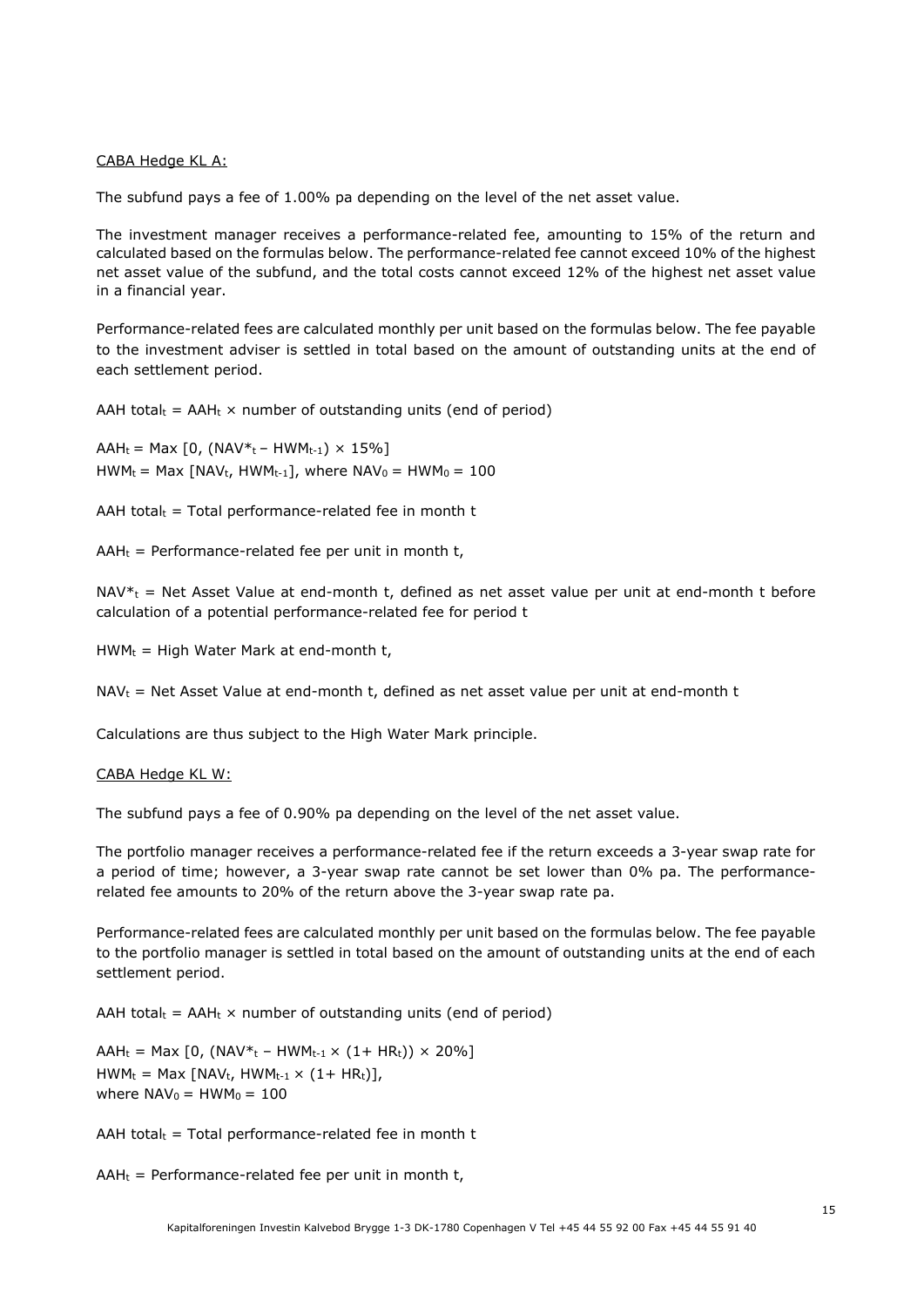#### CABA Hedge KL A:

The subfund pays a fee of 1.00% pa depending on the level of the net asset value.

The investment manager receives a performance-related fee, amounting to 15% of the return and calculated based on the formulas below. The performance-related fee cannot exceed 10% of the highest net asset value of the subfund, and the total costs cannot exceed 12% of the highest net asset value in a financial year.

Performance-related fees are calculated monthly per unit based on the formulas below. The fee payable to the investment adviser is settled in total based on the amount of outstanding units at the end of each settlement period.

AAH total $t = A H_t \times$  number of outstanding units (end of period)

 $AAH_t = Max [0, (NAV*_{t} - HWM_{t-1}) \times 15\%]$  $HWM_t = Max \{ NAV_t, HWM_{t-1}\}, where WAV_0 = HWM_0 = 100$ 

AAH total $t = \text{Total performance-related fee in month } t$ 

 $AAH_t$  = Performance-related fee per unit in month t,

 $NAV^*$ <sub>t</sub> = Net Asset Value at end-month t, defined as net asset value per unit at end-month t before calculation of a potential performance-related fee for period t

 $HWM_t = High Water Mark at end-month t,$ 

 $NAV_t$  = Net Asset Value at end-month t, defined as net asset value per unit at end-month t

Calculations are thus subject to the High Water Mark principle.

#### CABA Hedge KL W:

The subfund pays a fee of 0.90% pa depending on the level of the net asset value.

The portfolio manager receives a performance-related fee if the return exceeds a 3-year swap rate for a period of time; however, a 3-year swap rate cannot be set lower than 0% pa. The performancerelated fee amounts to 20% of the return above the 3-year swap rate pa.

Performance-related fees are calculated monthly per unit based on the formulas below. The fee payable to the portfolio manager is settled in total based on the amount of outstanding units at the end of each settlement period.

AAH total<sub>t</sub> = AAH<sub>t</sub>  $\times$  number of outstanding units (end of period)

AAH<sub>t</sub> = Max [0, (NAV<sup>\*</sup>t – HWM<sub>t-1</sub> × (1+ HRt)) × 20%]  $HWM_t = Max [NAV_t, HWM_{t-1} \times (1 + HR_t)],$ where  $NAV_0 = HWM_0 = 100$ 

AAH total $t =$  Total performance-related fee in month t

 $AAH_t$  = Performance-related fee per unit in month t,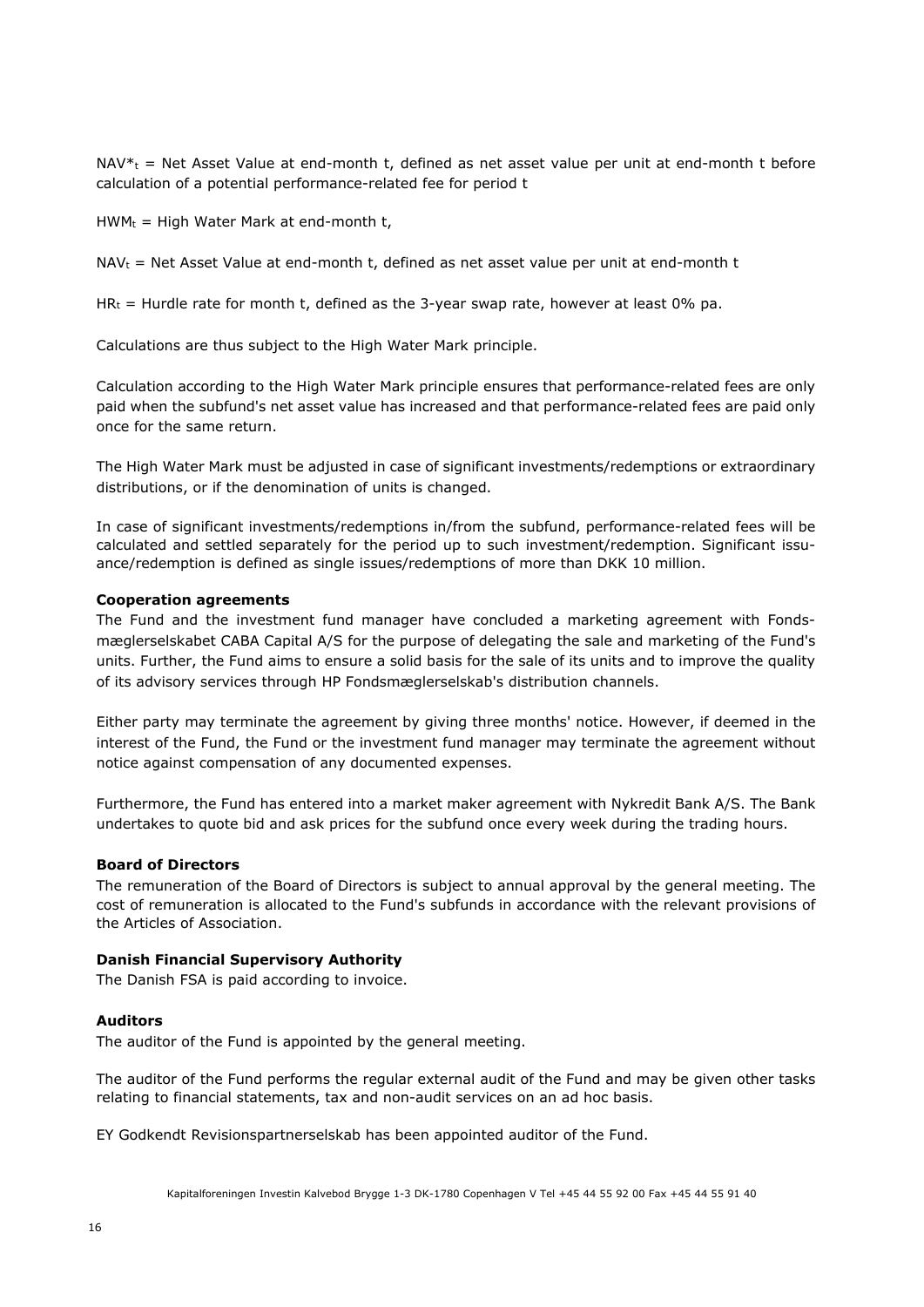$NAV^*$  = Net Asset Value at end-month t, defined as net asset value per unit at end-month t before calculation of a potential performance-related fee for period t

 $HWM_t = High Water Mark at end-month t$ ,

NAV<sub>t</sub> = Net Asset Value at end-month t, defined as net asset value per unit at end-month t

HR<sub>t</sub> = Hurdle rate for month t, defined as the 3-year swap rate, however at least 0% pa.

Calculations are thus subject to the High Water Mark principle.

Calculation according to the High Water Mark principle ensures that performance-related fees are only paid when the subfund's net asset value has increased and that performance-related fees are paid only once for the same return.

The High Water Mark must be adjusted in case of significant investments/redemptions or extraordinary distributions, or if the denomination of units is changed.

In case of significant investments/redemptions in/from the subfund, performance-related fees will be calculated and settled separately for the period up to such investment/redemption. Significant issuance/redemption is defined as single issues/redemptions of more than DKK 10 million.

#### **Cooperation agreements**

The Fund and the investment fund manager have concluded a marketing agreement with Fondsmæglerselskabet CABA Capital A/S for the purpose of delegating the sale and marketing of the Fund's units. Further, the Fund aims to ensure a solid basis for the sale of its units and to improve the quality of its advisory services through HP Fondsmæglerselskab's distribution channels.

Either party may terminate the agreement by giving three months' notice. However, if deemed in the interest of the Fund, the Fund or the investment fund manager may terminate the agreement without notice against compensation of any documented expenses.

Furthermore, the Fund has entered into a market maker agreement with Nykredit Bank A/S. The Bank undertakes to quote bid and ask prices for the subfund once every week during the trading hours.

#### **Board of Directors**

The remuneration of the Board of Directors is subject to annual approval by the general meeting. The cost of remuneration is allocated to the Fund's subfunds in accordance with the relevant provisions of the Articles of Association.

# **Danish Financial Supervisory Authority**

The Danish FSA is paid according to invoice.

#### **Auditors**

The auditor of the Fund is appointed by the general meeting.

The auditor of the Fund performs the regular external audit of the Fund and may be given other tasks relating to financial statements, tax and non-audit services on an ad hoc basis.

EY Godkendt Revisionspartnerselskab has been appointed auditor of the Fund.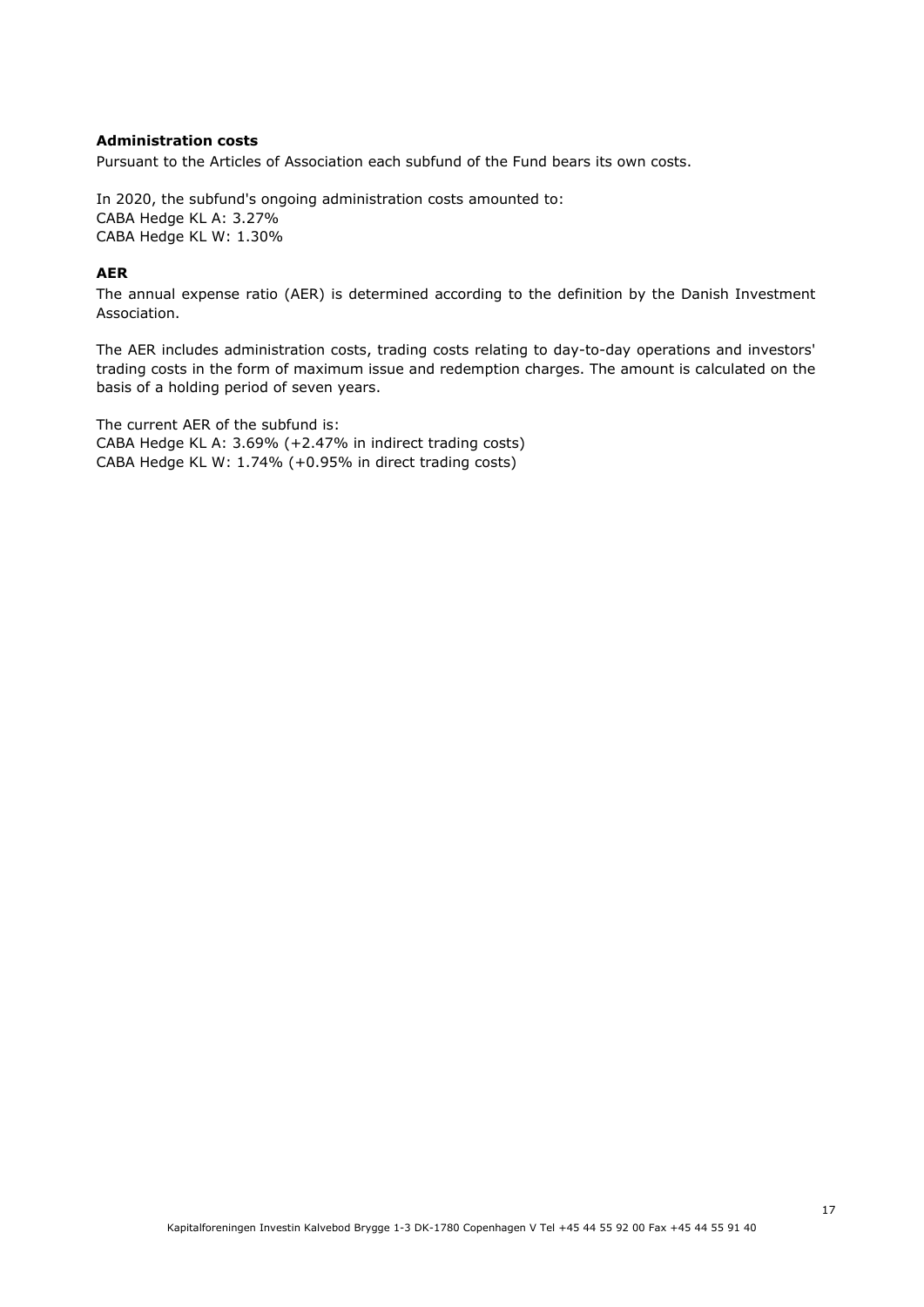# **Administration costs**

Pursuant to the Articles of Association each subfund of the Fund bears its own costs.

In 2020, the subfund's ongoing administration costs amounted to: CABA Hedge KL A: 3.27% CABA Hedge KL W: 1.30%

# **AER**

The annual expense ratio (AER) is determined according to the definition by the Danish Investment Association.

The AER includes administration costs, trading costs relating to day-to-day operations and investors' trading costs in the form of maximum issue and redemption charges. The amount is calculated on the basis of a holding period of seven years.

The current AER of the subfund is: CABA Hedge KL A: 3.69% (+2.47% in indirect trading costs) CABA Hedge KL W: 1.74% (+0.95% in direct trading costs)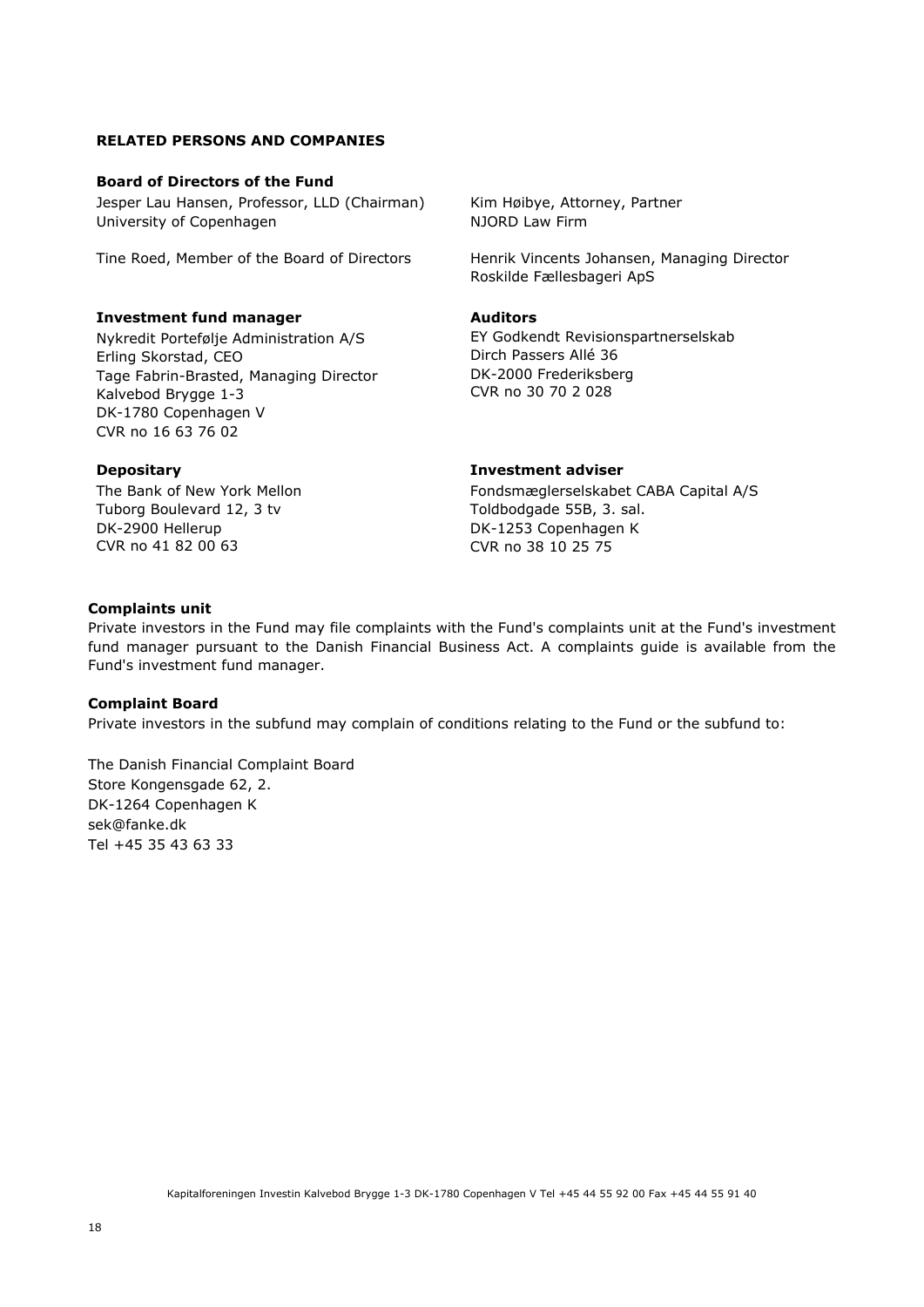# **RELATED PERSONS AND COMPANIES**

#### **Board of Directors of the Fund**

Jesper Lau Hansen, Professor, LLD (Chairman) University of Copenhagen

# **Investment fund manager**

Nykredit Portefølje Administration A/S Erling Skorstad, CEO Tage Fabrin-Brasted, Managing Director Kalvebod Brygge 1-3 DK-1780 Copenhagen V CVR no 16 63 76 02

#### **Depositary**

The Bank of New York Mellon Tuborg Boulevard 12, 3 tv DK-2900 Hellerup CVR no 41 82 00 63

Kim Høibye, Attorney, Partner NJORD Law Firm

Tine Roed, Member of the Board of Directors Henrik Vincents Johansen, Managing Director Roskilde Fællesbageri ApS

#### **Auditors**

EY Godkendt Revisionspartnerselskab Dirch Passers Allé 36 DK-2000 Frederiksberg CVR no 30 70 2 028

## **Investment adviser**

Fondsmæglerselskabet CABA Capital A/S Toldbodgade 55B, 3. sal. DK-1253 Copenhagen K CVR no 38 10 25 75

#### **Complaints unit**

Private investors in the Fund may file complaints with the Fund's complaints unit at the Fund's investment fund manager pursuant to the Danish Financial Business Act. A complaints guide is available from the Fund's investment fund manager.

#### **Complaint Board**

Private investors in the subfund may complain of conditions relating to the Fund or the subfund to:

The Danish Financial Complaint Board Store Kongensgade 62, 2. DK-1264 Copenhagen K sek@fanke.dk Tel +45 35 43 63 33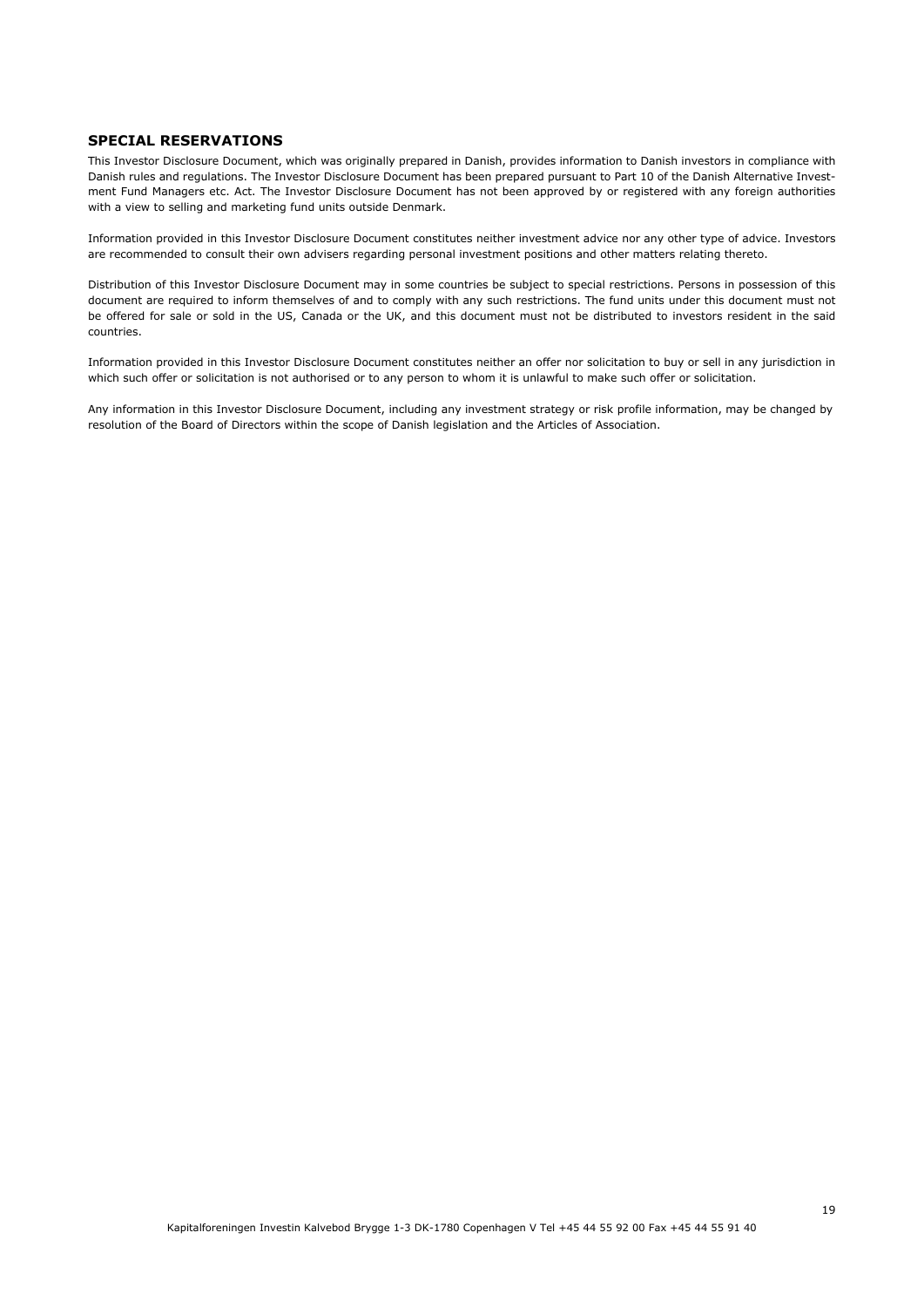#### **SPECIAL RESERVATIONS**

This Investor Disclosure Document, which was originally prepared in Danish, provides information to Danish investors in compliance with Danish rules and regulations. The Investor Disclosure Document has been prepared pursuant to Part 10 of the Danish Alternative Investment Fund Managers etc. Act. The Investor Disclosure Document has not been approved by or registered with any foreign authorities with a view to selling and marketing fund units outside Denmark.

Information provided in this Investor Disclosure Document constitutes neither investment advice nor any other type of advice. Investors are recommended to consult their own advisers regarding personal investment positions and other matters relating thereto.

Distribution of this Investor Disclosure Document may in some countries be subject to special restrictions. Persons in possession of this document are required to inform themselves of and to comply with any such restrictions. The fund units under this document must not be offered for sale or sold in the US, Canada or the UK, and this document must not be distributed to investors resident in the said countries.

Information provided in this Investor Disclosure Document constitutes neither an offer nor solicitation to buy or sell in any jurisdiction in which such offer or solicitation is not authorised or to any person to whom it is unlawful to make such offer or solicitation.

Any information in this Investor Disclosure Document, including any investment strategy or risk profile information, may be changed by resolution of the Board of Directors within the scope of Danish legislation and the Articles of Association.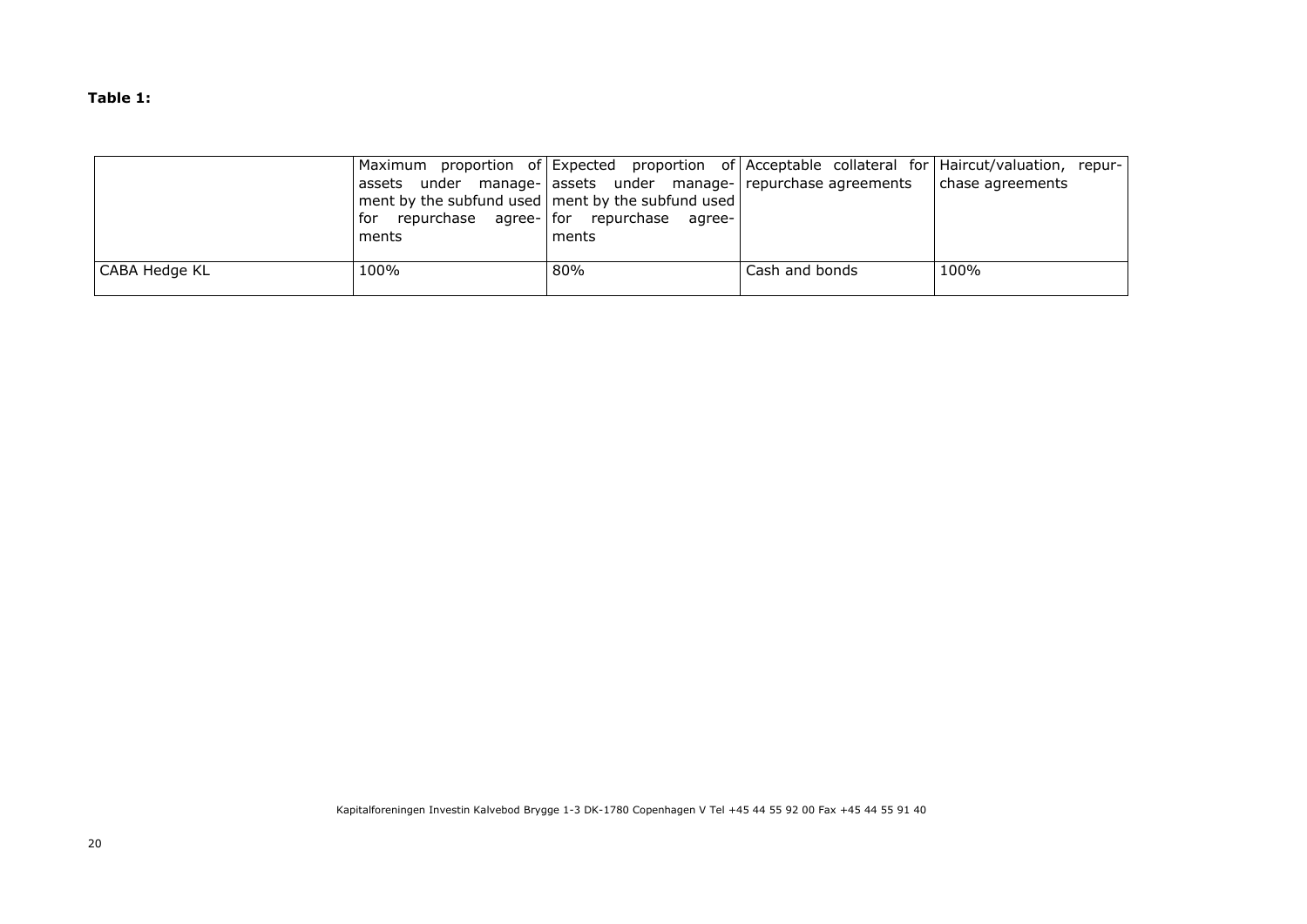**Table 1:** 

|               |                                                                |                                                                                                                            |                | Maximum proportion of Expected proportion of Acceptable collateral for Haircut/valuation, repur- |
|---------------|----------------------------------------------------------------|----------------------------------------------------------------------------------------------------------------------------|----------------|--------------------------------------------------------------------------------------------------|
|               | assets<br>for repurchase agree- for repurchase agree-<br>ments | under manage- assets under manage- repurchase agreements<br>ment by the subfund used   ment by the subfund used  <br>ments |                | chase agreements                                                                                 |
| CABA Hedge KL | 100%                                                           | 80%                                                                                                                        | Cash and bonds | 100%                                                                                             |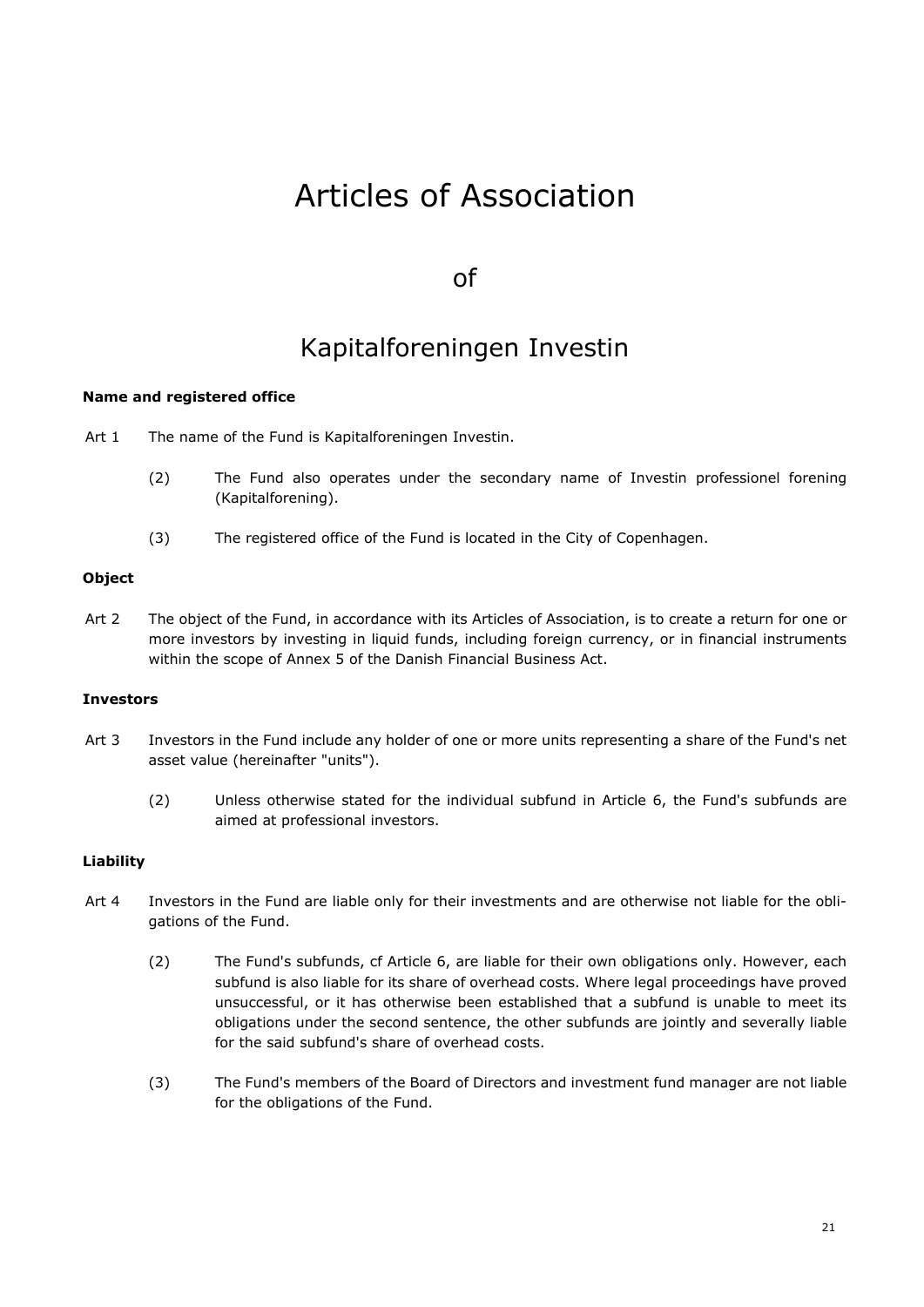# Articles of Association

# of

# Kapitalforeningen Investin

# **Name and registered office**

- Art 1 The name of the Fund is Kapitalforeningen Investin.
	- (2) The Fund also operates under the secondary name of Investin professionel forening (Kapitalforening).
	- (3) The registered office of the Fund is located in the City of Copenhagen.

# **Object**

Art 2 The object of the Fund, in accordance with its Articles of Association, is to create a return for one or more investors by investing in liquid funds, including foreign currency, or in financial instruments within the scope of Annex 5 of the Danish Financial Business Act.

# **Investors**

- Art 3 Investors in the Fund include any holder of one or more units representing a share of the Fund's net asset value (hereinafter "units").
	- (2) Unless otherwise stated for the individual subfund in Article 6, the Fund's subfunds are aimed at professional investors.

# **Liability**

- Art 4 Investors in the Fund are liable only for their investments and are otherwise not liable for the obligations of the Fund.
	- (2) The Fund's subfunds, cf Article 6, are liable for their own obligations only. However, each subfund is also liable for its share of overhead costs. Where legal proceedings have proved unsuccessful, or it has otherwise been established that a subfund is unable to meet its obligations under the second sentence, the other subfunds are jointly and severally liable for the said subfund's share of overhead costs.
	- (3) The Fund's members of the Board of Directors and investment fund manager are not liable for the obligations of the Fund.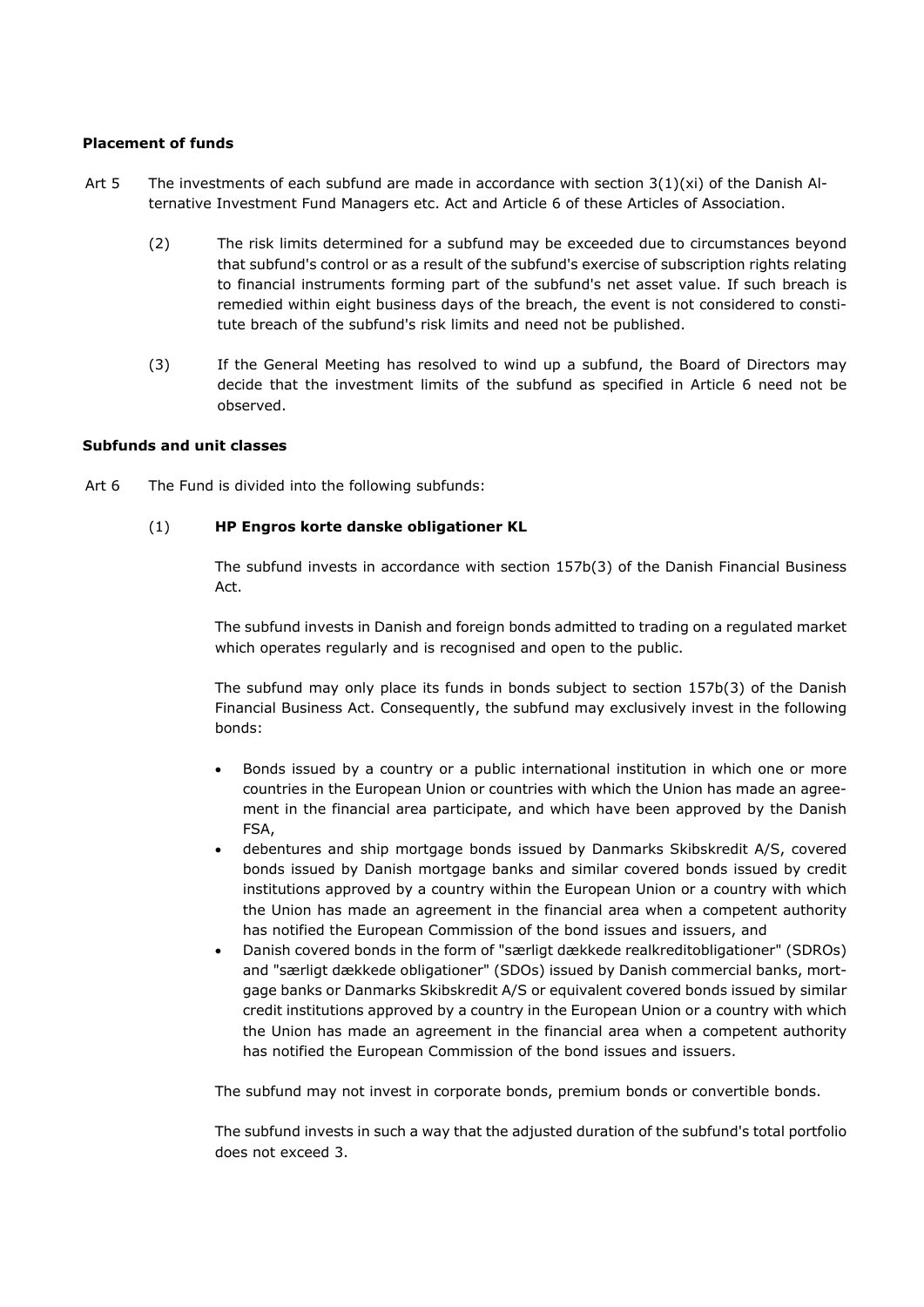# **Placement of funds**

- Art 5 The investments of each subfund are made in accordance with section  $3(1)(xi)$  of the Danish Alternative Investment Fund Managers etc. Act and Article 6 of these Articles of Association.
	- (2) The risk limits determined for a subfund may be exceeded due to circumstances beyond that subfund's control or as a result of the subfund's exercise of subscription rights relating to financial instruments forming part of the subfund's net asset value. If such breach is remedied within eight business days of the breach, the event is not considered to constitute breach of the subfund's risk limits and need not be published.
	- (3) If the General Meeting has resolved to wind up a subfund, the Board of Directors may decide that the investment limits of the subfund as specified in Article 6 need not be observed.

# **Subfunds and unit classes**

Art 6 The Fund is divided into the following subfunds:

# (1) **HP Engros korte danske obligationer KL**

The subfund invests in accordance with section 157b(3) of the Danish Financial Business Act.

The subfund invests in Danish and foreign bonds admitted to trading on a regulated market which operates regularly and is recognised and open to the public.

The subfund may only place its funds in bonds subject to section 157b(3) of the Danish Financial Business Act. Consequently, the subfund may exclusively invest in the following bonds:

- Bonds issued by a country or a public international institution in which one or more countries in the European Union or countries with which the Union has made an agreement in the financial area participate, and which have been approved by the Danish FSA,
- debentures and ship mortgage bonds issued by Danmarks Skibskredit A/S, covered bonds issued by Danish mortgage banks and similar covered bonds issued by credit institutions approved by a country within the European Union or a country with which the Union has made an agreement in the financial area when a competent authority has notified the European Commission of the bond issues and issuers, and
- Danish covered bonds in the form of "særligt dækkede realkreditobligationer" (SDROs) and "særligt dækkede obligationer" (SDOs) issued by Danish commercial banks, mortgage banks or Danmarks Skibskredit A/S or equivalent covered bonds issued by similar credit institutions approved by a country in the European Union or a country with which the Union has made an agreement in the financial area when a competent authority has notified the European Commission of the bond issues and issuers.

The subfund may not invest in corporate bonds, premium bonds or convertible bonds.

The subfund invests in such a way that the adjusted duration of the subfund's total portfolio does not exceed 3.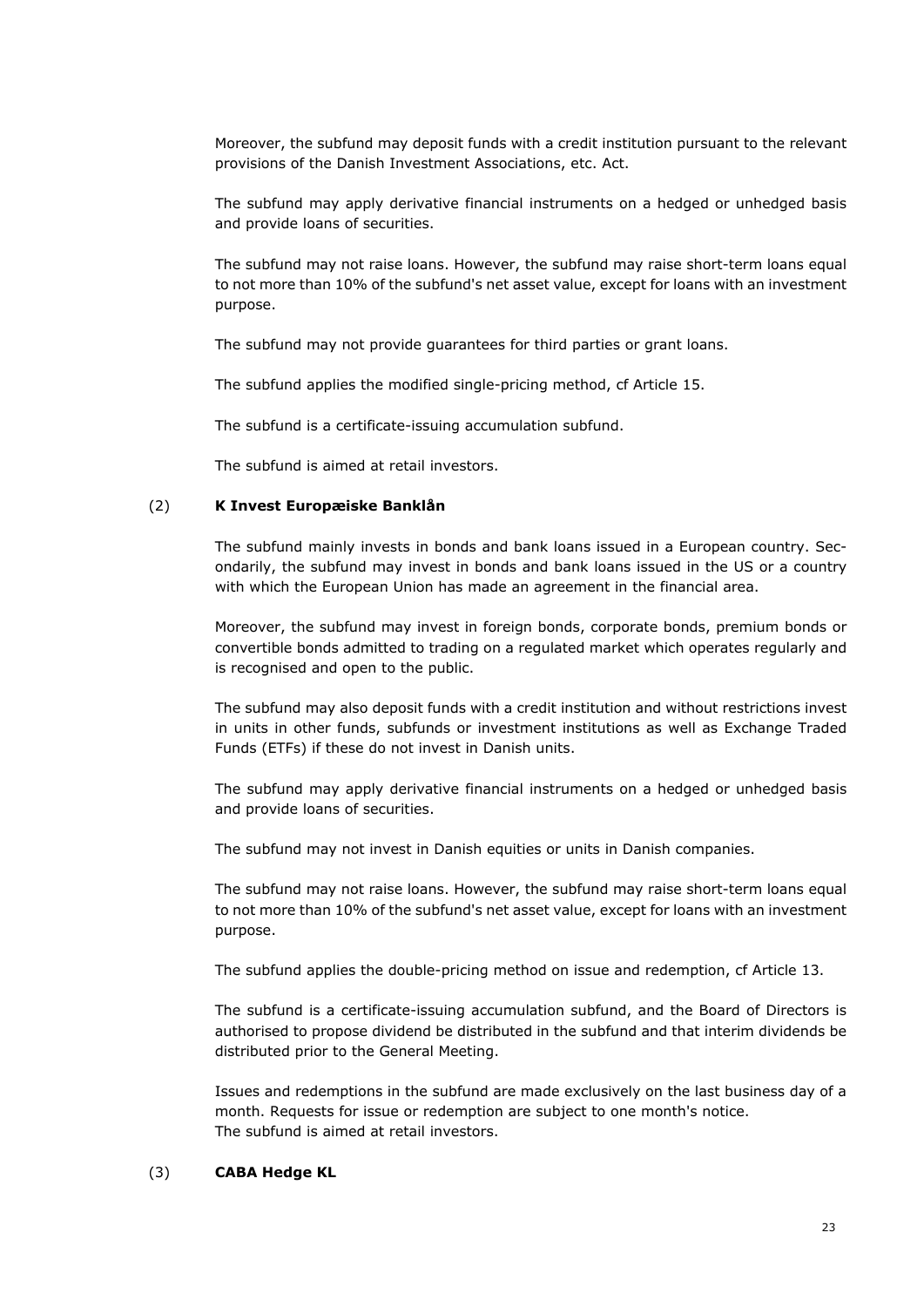Moreover, the subfund may deposit funds with a credit institution pursuant to the relevant provisions of the Danish Investment Associations, etc. Act.

The subfund may apply derivative financial instruments on a hedged or unhedged basis and provide loans of securities.

The subfund may not raise loans. However, the subfund may raise short-term loans equal to not more than 10% of the subfund's net asset value, except for loans with an investment purpose.

The subfund may not provide guarantees for third parties or grant loans.

The subfund applies the modified single-pricing method, cf Article 15.

The subfund is a certificate-issuing accumulation subfund.

The subfund is aimed at retail investors.

# (2) **K Invest Europæiske Banklån**

The subfund mainly invests in bonds and bank loans issued in a European country. Secondarily, the subfund may invest in bonds and bank loans issued in the US or a country with which the European Union has made an agreement in the financial area.

Moreover, the subfund may invest in foreign bonds, corporate bonds, premium bonds or convertible bonds admitted to trading on a regulated market which operates regularly and is recognised and open to the public.

The subfund may also deposit funds with a credit institution and without restrictions invest in units in other funds, subfunds or investment institutions as well as Exchange Traded Funds (ETFs) if these do not invest in Danish units.

The subfund may apply derivative financial instruments on a hedged or unhedged basis and provide loans of securities.

The subfund may not invest in Danish equities or units in Danish companies.

The subfund may not raise loans. However, the subfund may raise short-term loans equal to not more than 10% of the subfund's net asset value, except for loans with an investment purpose.

The subfund applies the double-pricing method on issue and redemption, cf Article 13.

The subfund is a certificate-issuing accumulation subfund, and the Board of Directors is authorised to propose dividend be distributed in the subfund and that interim dividends be distributed prior to the General Meeting.

Issues and redemptions in the subfund are made exclusively on the last business day of a month. Requests for issue or redemption are subject to one month's notice. The subfund is aimed at retail investors.

# (3) **CABA Hedge KL**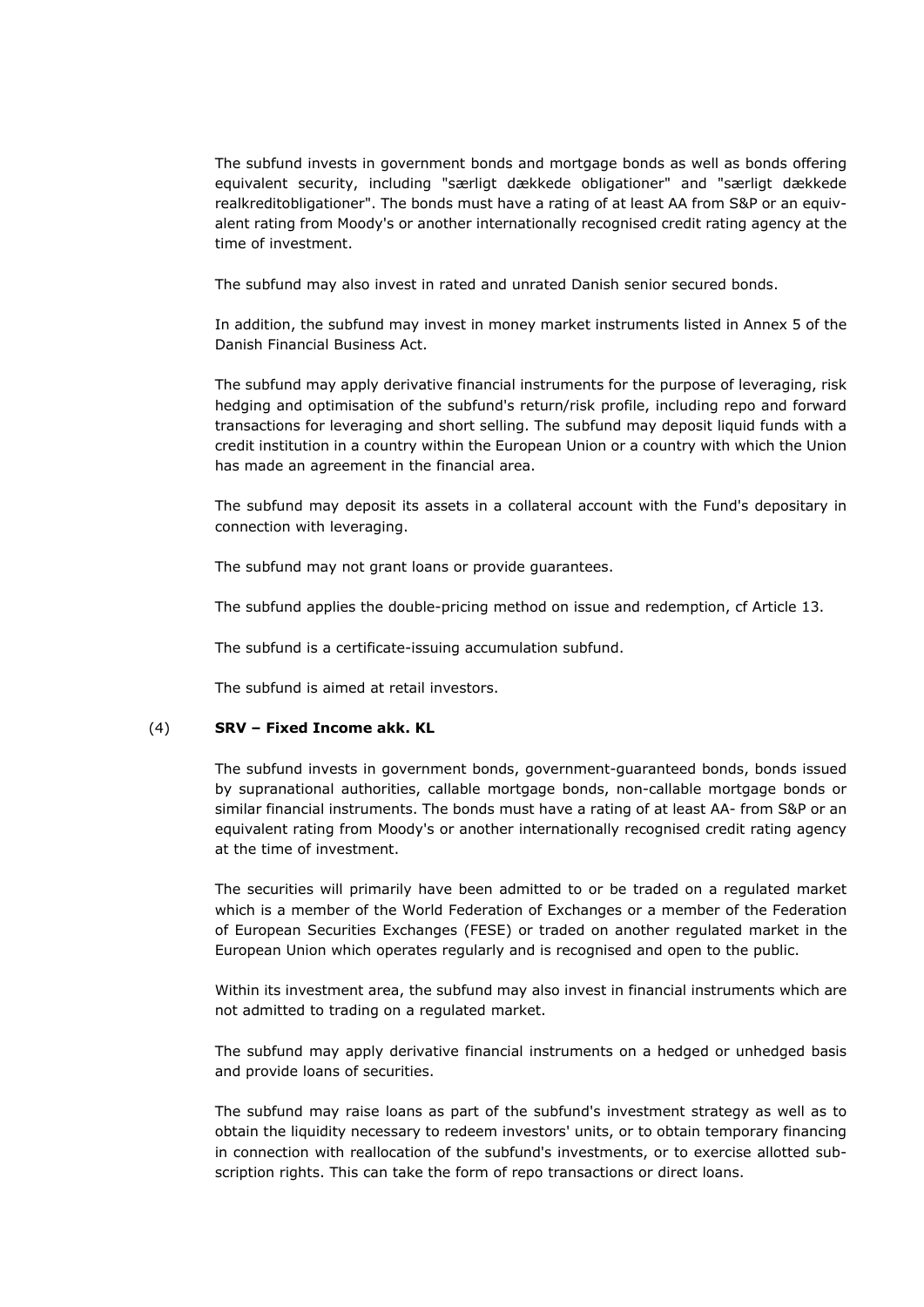The subfund invests in government bonds and mortgage bonds as well as bonds offering equivalent security, including "særligt dækkede obligationer" and "særligt dækkede realkreditobligationer". The bonds must have a rating of at least AA from S&P or an equivalent rating from Moody's or another internationally recognised credit rating agency at the time of investment.

The subfund may also invest in rated and unrated Danish senior secured bonds.

In addition, the subfund may invest in money market instruments listed in Annex 5 of the Danish Financial Business Act.

The subfund may apply derivative financial instruments for the purpose of leveraging, risk hedging and optimisation of the subfund's return/risk profile, including repo and forward transactions for leveraging and short selling. The subfund may deposit liquid funds with a credit institution in a country within the European Union or a country with which the Union has made an agreement in the financial area.

The subfund may deposit its assets in a collateral account with the Fund's depositary in connection with leveraging.

The subfund may not grant loans or provide guarantees.

The subfund applies the double-pricing method on issue and redemption, cf Article 13.

The subfund is a certificate-issuing accumulation subfund.

The subfund is aimed at retail investors.

# (4) **SRV – Fixed Income akk. KL**

The subfund invests in government bonds, government-guaranteed bonds, bonds issued by supranational authorities, callable mortgage bonds, non-callable mortgage bonds or similar financial instruments. The bonds must have a rating of at least AA- from S&P or an equivalent rating from Moody's or another internationally recognised credit rating agency at the time of investment.

The securities will primarily have been admitted to or be traded on a regulated market which is a member of the World Federation of Exchanges or a member of the Federation of European Securities Exchanges (FESE) or traded on another regulated market in the European Union which operates regularly and is recognised and open to the public.

Within its investment area, the subfund may also invest in financial instruments which are not admitted to trading on a regulated market.

The subfund may apply derivative financial instruments on a hedged or unhedged basis and provide loans of securities.

The subfund may raise loans as part of the subfund's investment strategy as well as to obtain the liquidity necessary to redeem investors' units, or to obtain temporary financing in connection with reallocation of the subfund's investments, or to exercise allotted subscription rights. This can take the form of repo transactions or direct loans.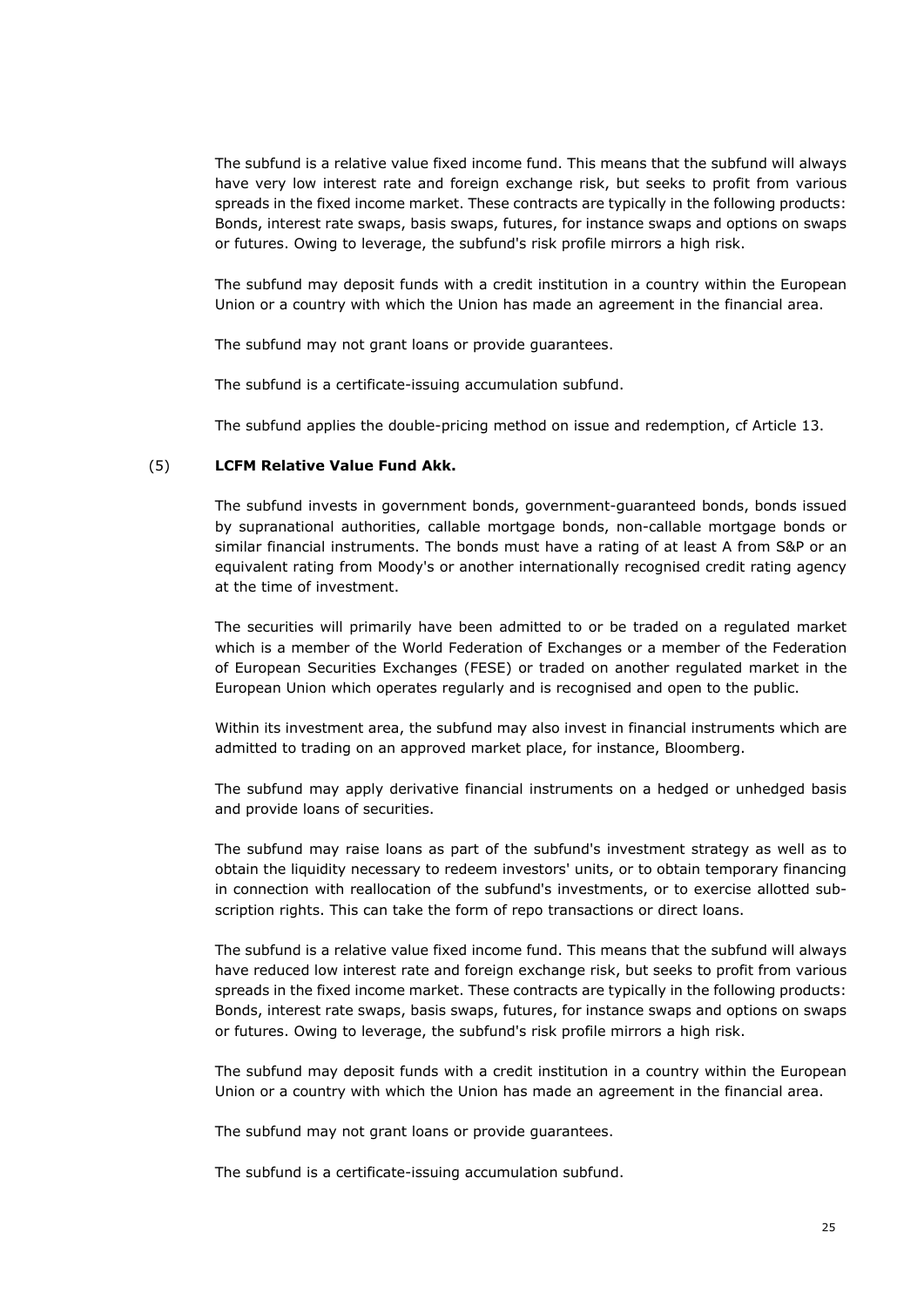The subfund is a relative value fixed income fund. This means that the subfund will always have very low interest rate and foreign exchange risk, but seeks to profit from various spreads in the fixed income market. These contracts are typically in the following products: Bonds, interest rate swaps, basis swaps, futures, for instance swaps and options on swaps or futures. Owing to leverage, the subfund's risk profile mirrors a high risk.

The subfund may deposit funds with a credit institution in a country within the European Union or a country with which the Union has made an agreement in the financial area.

The subfund may not grant loans or provide guarantees.

The subfund is a certificate-issuing accumulation subfund.

The subfund applies the double-pricing method on issue and redemption, cf Article 13.

# (5) **LCFM Relative Value Fund Akk.**

The subfund invests in government bonds, government-guaranteed bonds, bonds issued by supranational authorities, callable mortgage bonds, non-callable mortgage bonds or similar financial instruments. The bonds must have a rating of at least A from S&P or an equivalent rating from Moody's or another internationally recognised credit rating agency at the time of investment.

The securities will primarily have been admitted to or be traded on a regulated market which is a member of the World Federation of Exchanges or a member of the Federation of European Securities Exchanges (FESE) or traded on another regulated market in the European Union which operates regularly and is recognised and open to the public.

Within its investment area, the subfund may also invest in financial instruments which are admitted to trading on an approved market place, for instance, Bloomberg.

The subfund may apply derivative financial instruments on a hedged or unhedged basis and provide loans of securities.

The subfund may raise loans as part of the subfund's investment strategy as well as to obtain the liquidity necessary to redeem investors' units, or to obtain temporary financing in connection with reallocation of the subfund's investments, or to exercise allotted subscription rights. This can take the form of repo transactions or direct loans.

The subfund is a relative value fixed income fund. This means that the subfund will always have reduced low interest rate and foreign exchange risk, but seeks to profit from various spreads in the fixed income market. These contracts are typically in the following products: Bonds, interest rate swaps, basis swaps, futures, for instance swaps and options on swaps or futures. Owing to leverage, the subfund's risk profile mirrors a high risk.

The subfund may deposit funds with a credit institution in a country within the European Union or a country with which the Union has made an agreement in the financial area.

The subfund may not grant loans or provide guarantees.

The subfund is a certificate-issuing accumulation subfund.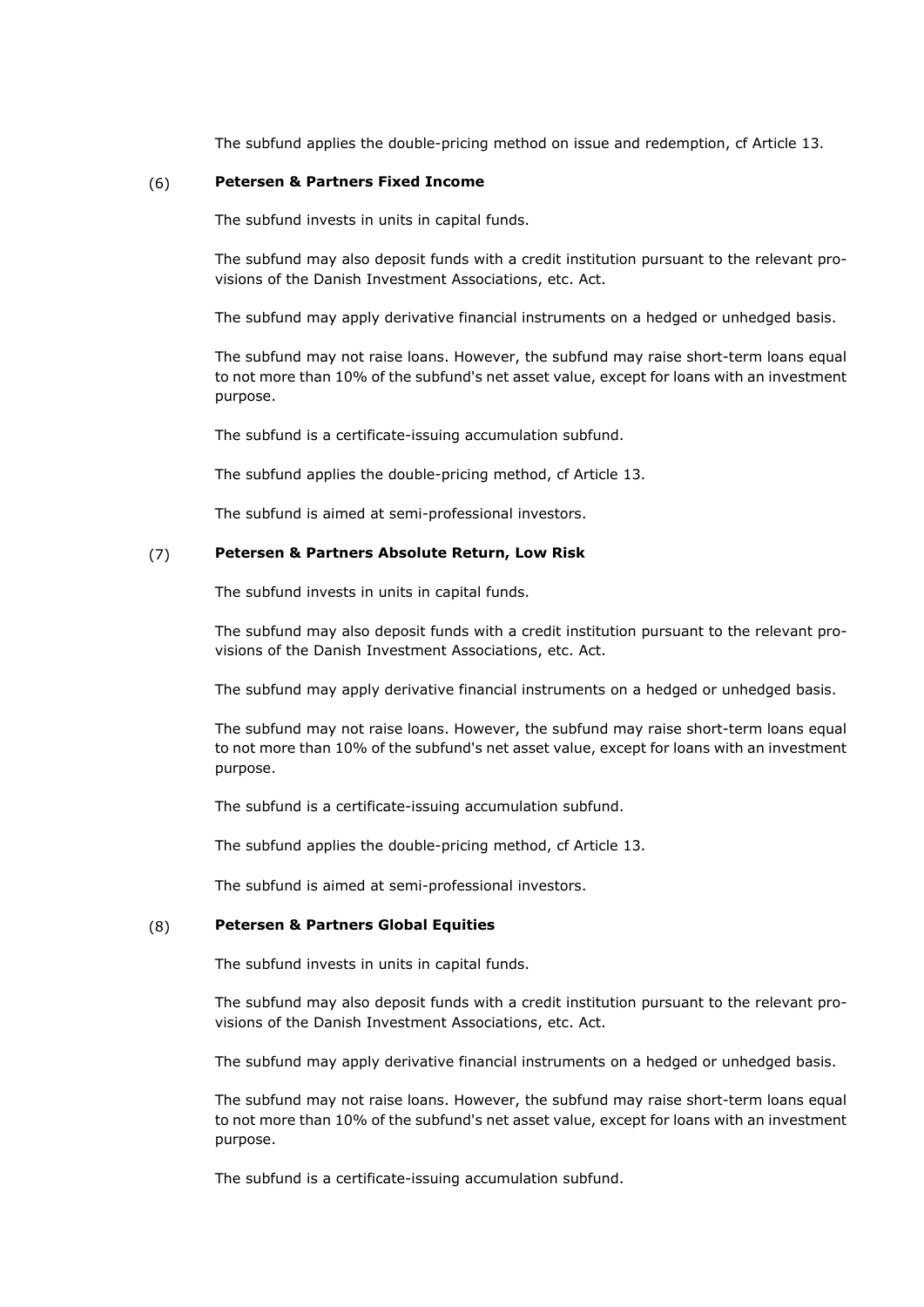The subfund applies the double-pricing method on issue and redemption, cf Article 13.

# (6) **Petersen & Partners Fixed Income**

The subfund invests in units in capital funds.

The subfund may also deposit funds with a credit institution pursuant to the relevant provisions of the Danish Investment Associations, etc. Act.

The subfund may apply derivative financial instruments on a hedged or unhedged basis.

The subfund may not raise loans. However, the subfund may raise short-term loans equal to not more than 10% of the subfund's net asset value, except for loans with an investment purpose.

The subfund is a certificate-issuing accumulation subfund.

The subfund applies the double-pricing method, cf Article 13.

The subfund is aimed at semi-professional investors.

# (7) **Petersen & Partners Absolute Return, Low Risk**

The subfund invests in units in capital funds.

The subfund may also deposit funds with a credit institution pursuant to the relevant provisions of the Danish Investment Associations, etc. Act.

The subfund may apply derivative financial instruments on a hedged or unhedged basis.

The subfund may not raise loans. However, the subfund may raise short-term loans equal to not more than 10% of the subfund's net asset value, except for loans with an investment purpose.

The subfund is a certificate-issuing accumulation subfund.

The subfund applies the double-pricing method, cf Article 13.

The subfund is aimed at semi-professional investors.

# (8) **Petersen & Partners Global Equities**

The subfund invests in units in capital funds.

The subfund may also deposit funds with a credit institution pursuant to the relevant provisions of the Danish Investment Associations, etc. Act.

The subfund may apply derivative financial instruments on a hedged or unhedged basis.

The subfund may not raise loans. However, the subfund may raise short-term loans equal to not more than 10% of the subfund's net asset value, except for loans with an investment purpose.

The subfund is a certificate-issuing accumulation subfund.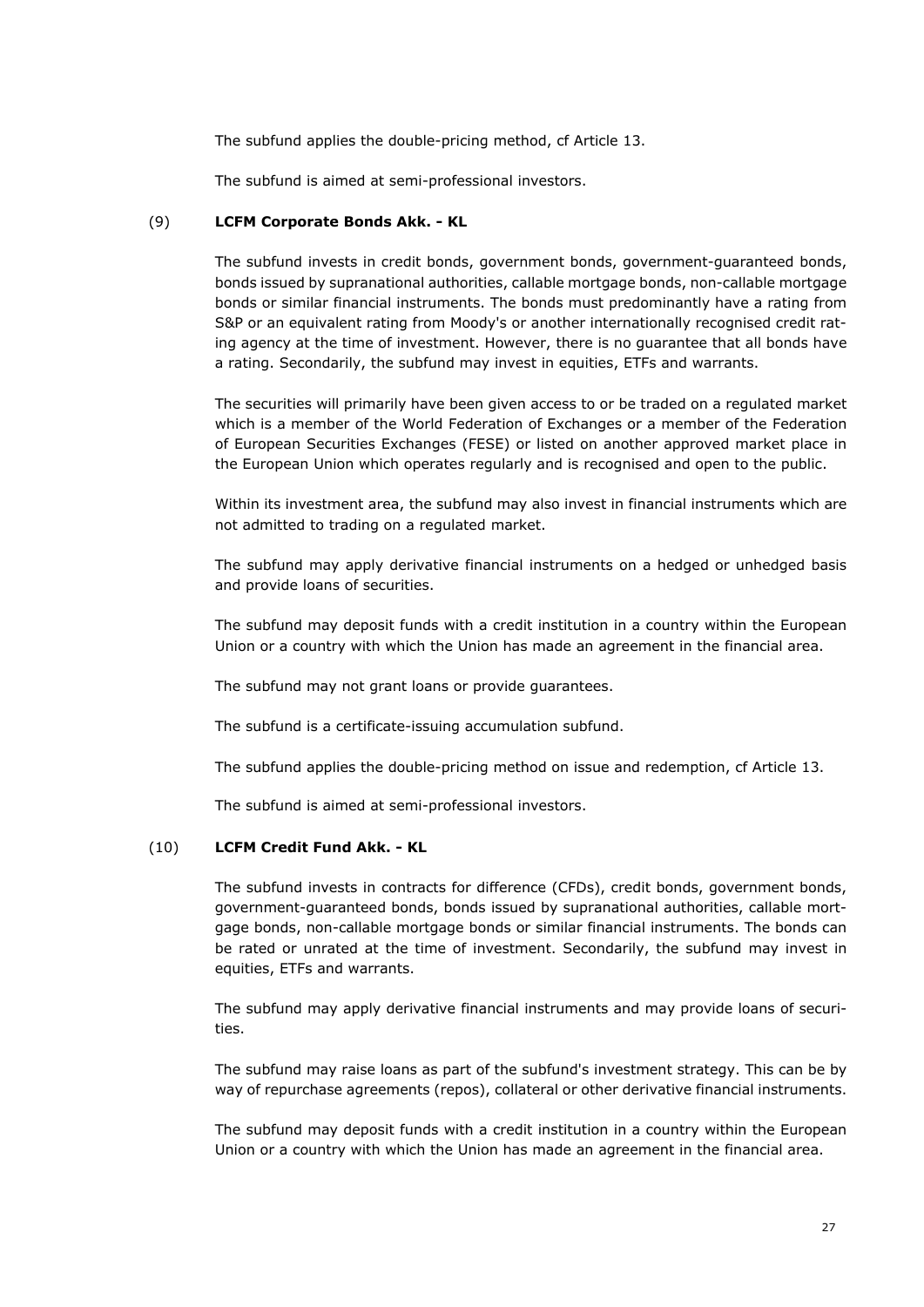The subfund applies the double-pricing method, cf Article 13.

The subfund is aimed at semi-professional investors.

# (9) **LCFM Corporate Bonds Akk. - KL**

The subfund invests in credit bonds, government bonds, government-guaranteed bonds, bonds issued by supranational authorities, callable mortgage bonds, non-callable mortgage bonds or similar financial instruments. The bonds must predominantly have a rating from S&P or an equivalent rating from Moody's or another internationally recognised credit rating agency at the time of investment. However, there is no guarantee that all bonds have a rating. Secondarily, the subfund may invest in equities, ETFs and warrants.

The securities will primarily have been given access to or be traded on a regulated market which is a member of the World Federation of Exchanges or a member of the Federation of European Securities Exchanges (FESE) or listed on another approved market place in the European Union which operates regularly and is recognised and open to the public.

Within its investment area, the subfund may also invest in financial instruments which are not admitted to trading on a regulated market.

The subfund may apply derivative financial instruments on a hedged or unhedged basis and provide loans of securities.

The subfund may deposit funds with a credit institution in a country within the European Union or a country with which the Union has made an agreement in the financial area.

The subfund may not grant loans or provide guarantees.

The subfund is a certificate-issuing accumulation subfund.

The subfund applies the double-pricing method on issue and redemption, cf Article 13.

The subfund is aimed at semi-professional investors.

# (10) **LCFM Credit Fund Akk. - KL**

The subfund invests in contracts for difference (CFDs), credit bonds, government bonds, government-guaranteed bonds, bonds issued by supranational authorities, callable mortgage bonds, non-callable mortgage bonds or similar financial instruments. The bonds can be rated or unrated at the time of investment. Secondarily, the subfund may invest in equities, ETFs and warrants.

The subfund may apply derivative financial instruments and may provide loans of securities.

The subfund may raise loans as part of the subfund's investment strategy. This can be by way of repurchase agreements (repos), collateral or other derivative financial instruments.

The subfund may deposit funds with a credit institution in a country within the European Union or a country with which the Union has made an agreement in the financial area.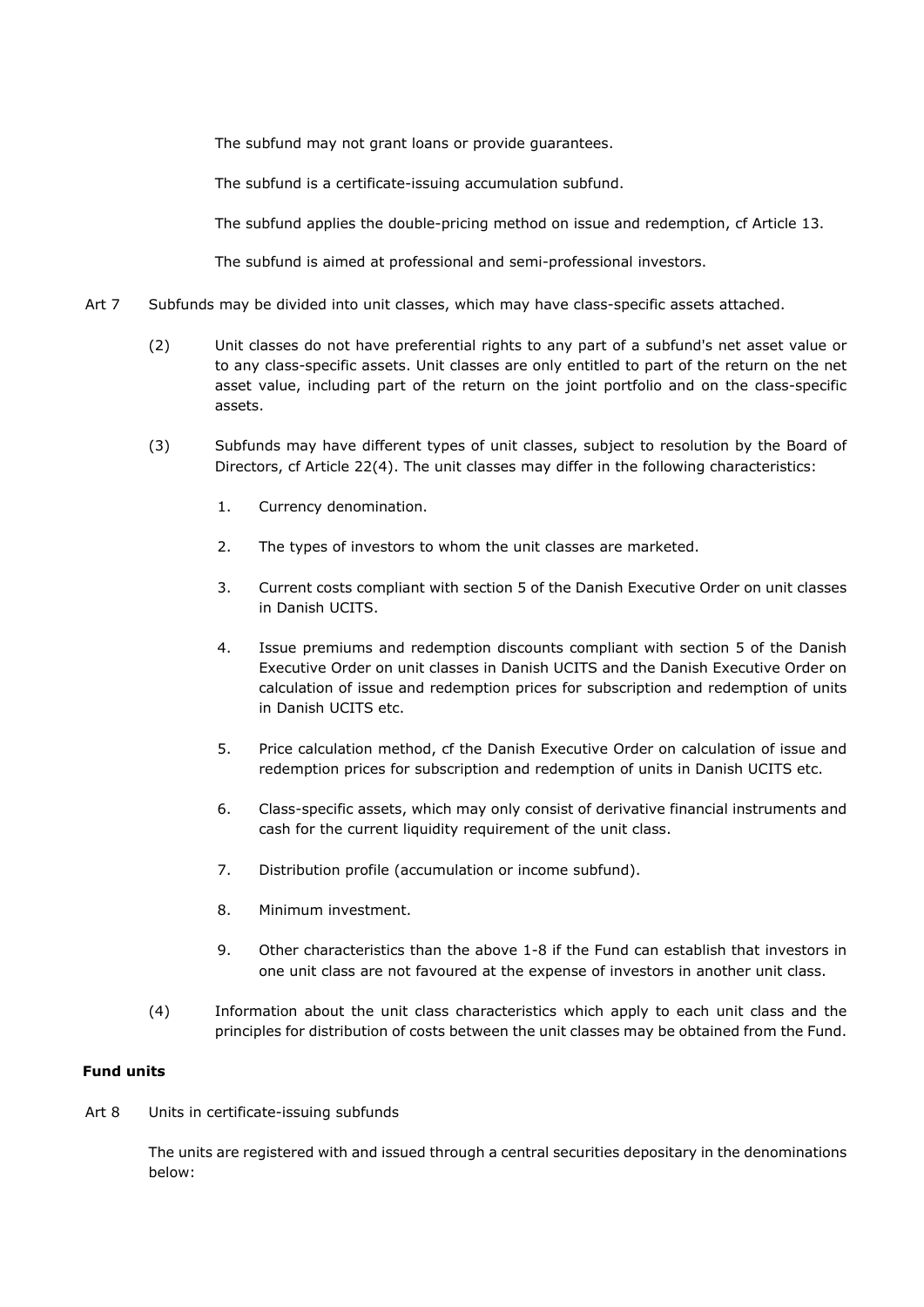The subfund may not grant loans or provide guarantees.

The subfund is a certificate-issuing accumulation subfund.

The subfund applies the double-pricing method on issue and redemption, cf Article 13.

The subfund is aimed at professional and semi-professional investors.

- Art 7 Subfunds may be divided into unit classes, which may have class-specific assets attached.
	- (2) Unit classes do not have preferential rights to any part of a subfund's net asset value or to any class-specific assets. Unit classes are only entitled to part of the return on the net asset value, including part of the return on the joint portfolio and on the class-specific assets.
	- (3) Subfunds may have different types of unit classes, subject to resolution by the Board of Directors, cf Article 22(4). The unit classes may differ in the following characteristics:
		- 1. Currency denomination.
		- 2. The types of investors to whom the unit classes are marketed.
		- 3. Current costs compliant with section 5 of the Danish Executive Order on unit classes in Danish UCITS.
		- 4. Issue premiums and redemption discounts compliant with section 5 of the Danish Executive Order on unit classes in Danish UCITS and the Danish Executive Order on calculation of issue and redemption prices for subscription and redemption of units in Danish UCITS etc.
		- 5. Price calculation method, cf the Danish Executive Order on calculation of issue and redemption prices for subscription and redemption of units in Danish UCITS etc.
		- 6. Class-specific assets, which may only consist of derivative financial instruments and cash for the current liquidity requirement of the unit class.
		- 7. Distribution profile (accumulation or income subfund).
		- 8. Minimum investment.
		- 9. Other characteristics than the above 1-8 if the Fund can establish that investors in one unit class are not favoured at the expense of investors in another unit class.
	- (4) Information about the unit class characteristics which apply to each unit class and the principles for distribution of costs between the unit classes may be obtained from the Fund.

# **Fund units**

Art 8 Units in certificate-issuing subfunds

The units are registered with and issued through a central securities depositary in the denominations below: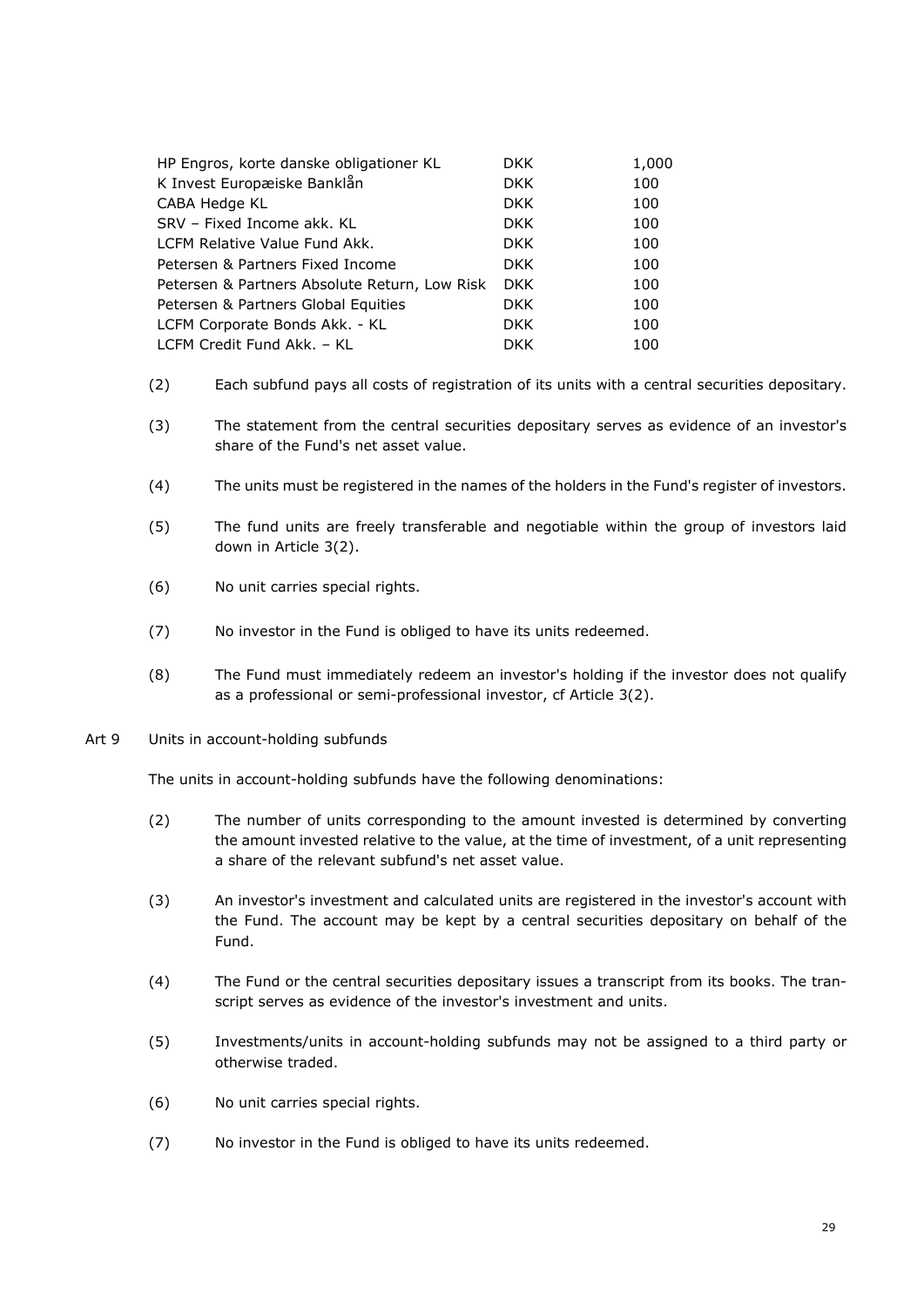| HP Engros, korte danske obligationer KL       | DKK.       | 1,000 |
|-----------------------------------------------|------------|-------|
| K Invest Europæiske Banklån                   | DKK.       | 100   |
| CABA Hedge KL                                 | <b>DKK</b> | 100   |
| SRV – Fixed Income akk. KL                    | <b>DKK</b> | 100   |
| LCFM Relative Value Fund Akk.                 | <b>DKK</b> | 100   |
| Petersen & Partners Fixed Income              | DKK.       | 100   |
| Petersen & Partners Absolute Return, Low Risk | <b>DKK</b> | 100   |
| Petersen & Partners Global Equities           | DKK.       | 100   |
| LCFM Corporate Bonds Akk. - KL                | DKK.       | 100   |
| LCFM Credit Fund Akk. - KL                    | <b>DKK</b> | 100   |

- (2) Each subfund pays all costs of registration of its units with a central securities depositary.
- (3) The statement from the central securities depositary serves as evidence of an investor's share of the Fund's net asset value.
- (4) The units must be registered in the names of the holders in the Fund's register of investors.
- (5) The fund units are freely transferable and negotiable within the group of investors laid down in Article 3(2).
- (6) No unit carries special rights.
- (7) No investor in the Fund is obliged to have its units redeemed.
- (8) The Fund must immediately redeem an investor's holding if the investor does not qualify as a professional or semi-professional investor, cf Article 3(2).
- Art 9 Units in account-holding subfunds

The units in account-holding subfunds have the following denominations:

- (2) The number of units corresponding to the amount invested is determined by converting the amount invested relative to the value, at the time of investment, of a unit representing a share of the relevant subfund's net asset value.
- (3) An investor's investment and calculated units are registered in the investor's account with the Fund. The account may be kept by a central securities depositary on behalf of the Fund.
- (4) The Fund or the central securities depositary issues a transcript from its books. The transcript serves as evidence of the investor's investment and units.
- (5) Investments/units in account-holding subfunds may not be assigned to a third party or otherwise traded.
- (6) No unit carries special rights.
- (7) No investor in the Fund is obliged to have its units redeemed.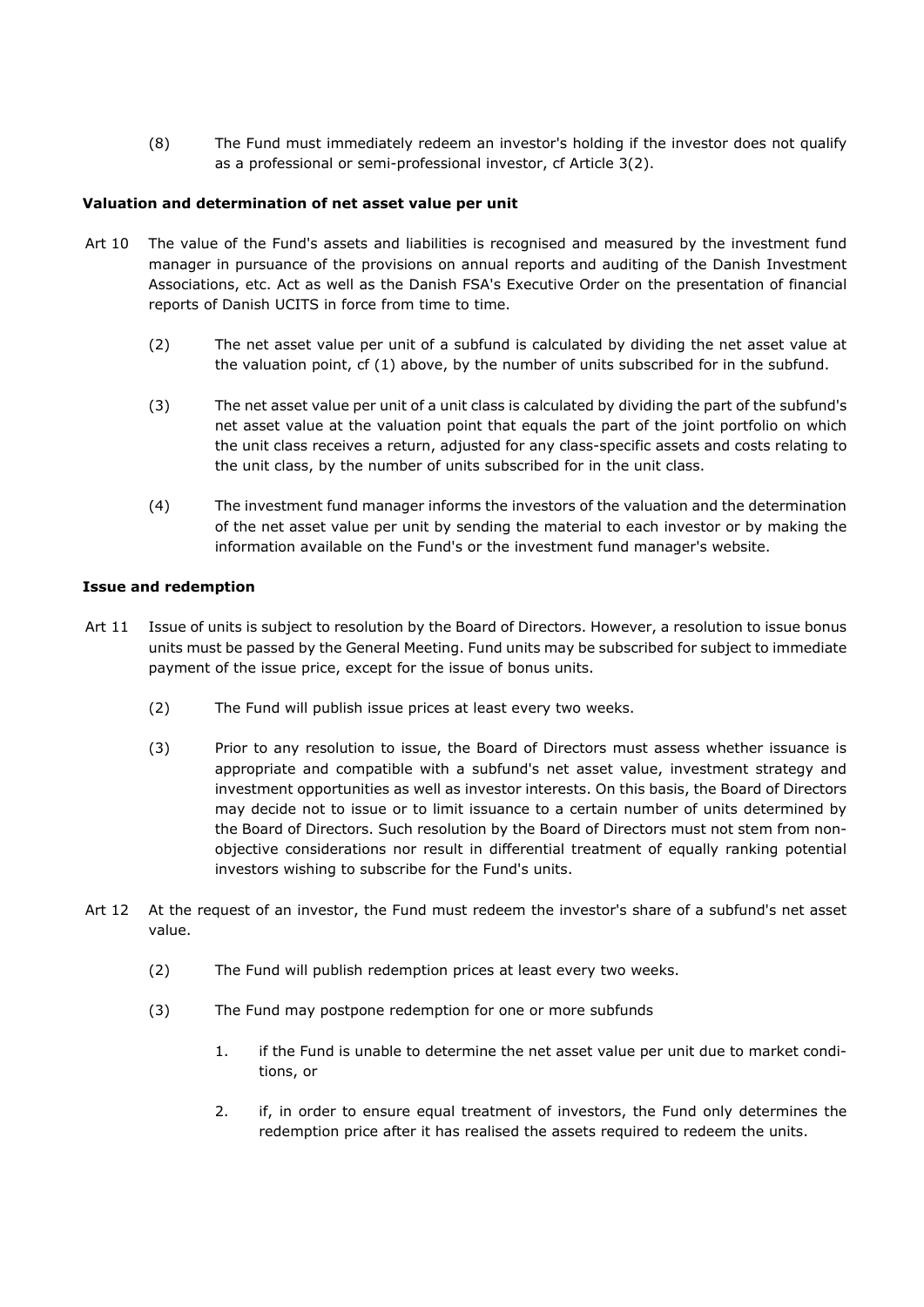(8) The Fund must immediately redeem an investor's holding if the investor does not qualify as a professional or semi-professional investor, cf Article 3(2).

# **Valuation and determination of net asset value per unit**

- Art 10 The value of the Fund's assets and liabilities is recognised and measured by the investment fund manager in pursuance of the provisions on annual reports and auditing of the Danish Investment Associations, etc. Act as well as the Danish FSA's Executive Order on the presentation of financial reports of Danish UCITS in force from time to time.
	- (2) The net asset value per unit of a subfund is calculated by dividing the net asset value at the valuation point, cf (1) above, by the number of units subscribed for in the subfund.
	- (3) The net asset value per unit of a unit class is calculated by dividing the part of the subfund's net asset value at the valuation point that equals the part of the joint portfolio on which the unit class receives a return, adjusted for any class-specific assets and costs relating to the unit class, by the number of units subscribed for in the unit class.
	- (4) The investment fund manager informs the investors of the valuation and the determination of the net asset value per unit by sending the material to each investor or by making the information available on the Fund's or the investment fund manager's website.

# **Issue and redemption**

- Art 11 Issue of units is subject to resolution by the Board of Directors. However, a resolution to issue bonus units must be passed by the General Meeting. Fund units may be subscribed for subject to immediate payment of the issue price, except for the issue of bonus units.
	- (2) The Fund will publish issue prices at least every two weeks.
	- (3) Prior to any resolution to issue, the Board of Directors must assess whether issuance is appropriate and compatible with a subfund's net asset value, investment strategy and investment opportunities as well as investor interests. On this basis, the Board of Directors may decide not to issue or to limit issuance to a certain number of units determined by the Board of Directors. Such resolution by the Board of Directors must not stem from nonobjective considerations nor result in differential treatment of equally ranking potential investors wishing to subscribe for the Fund's units.
- Art 12 At the request of an investor, the Fund must redeem the investor's share of a subfund's net asset value.
	- (2) The Fund will publish redemption prices at least every two weeks.
	- (3) The Fund may postpone redemption for one or more subfunds
		- 1. if the Fund is unable to determine the net asset value per unit due to market conditions, or
		- 2. if, in order to ensure equal treatment of investors, the Fund only determines the redemption price after it has realised the assets required to redeem the units.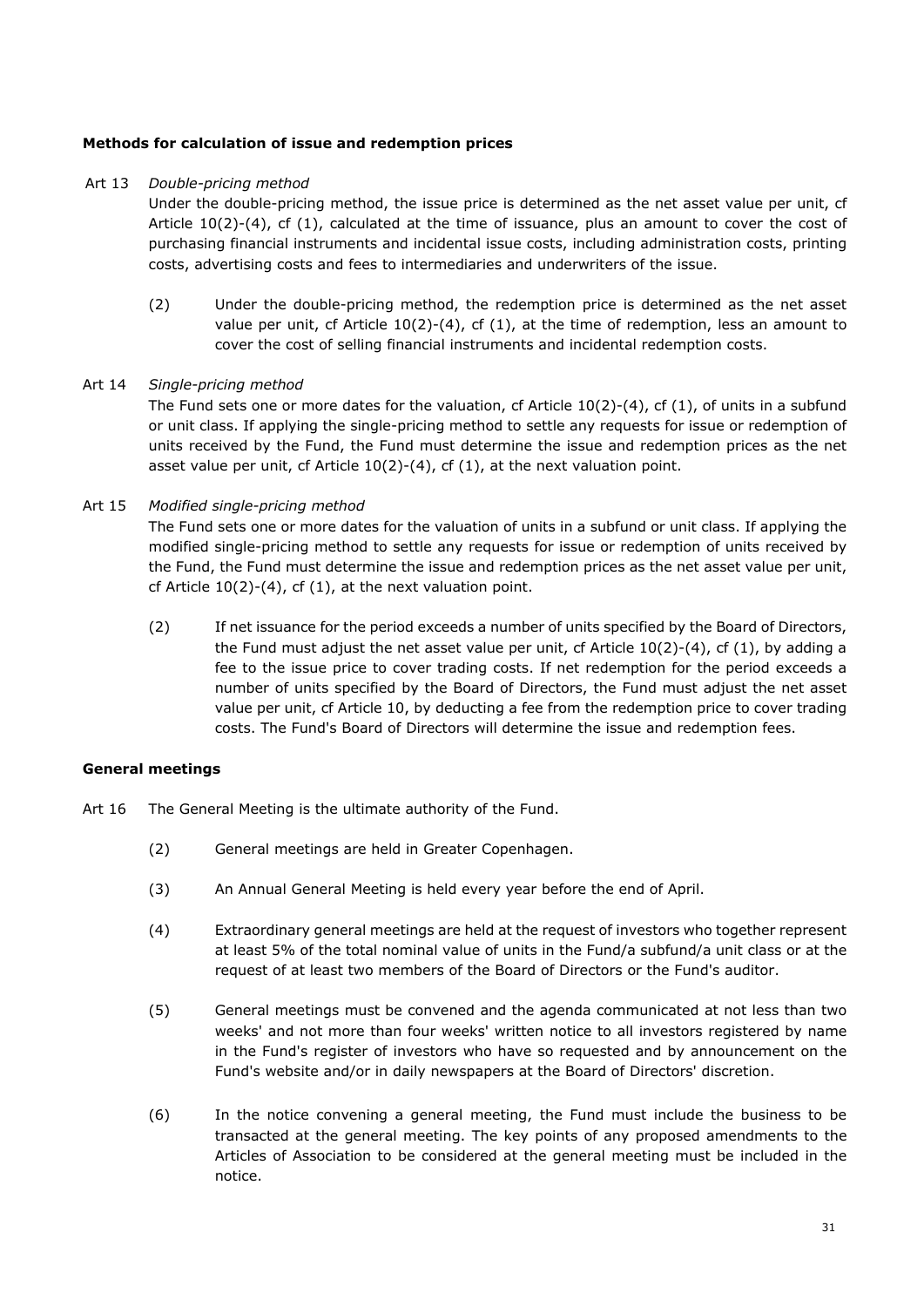# **Methods for calculation of issue and redemption prices**

# Art 13 *Double-pricing method*

Under the double-pricing method, the issue price is determined as the net asset value per unit, cf Article  $10(2)-(4)$ , cf  $(1)$ , calculated at the time of issuance, plus an amount to cover the cost of purchasing financial instruments and incidental issue costs, including administration costs, printing costs, advertising costs and fees to intermediaries and underwriters of the issue.

 (2) Under the double-pricing method, the redemption price is determined as the net asset value per unit, cf Article  $10(2)-(4)$ , cf  $(1)$ , at the time of redemption, less an amount to cover the cost of selling financial instruments and incidental redemption costs.

# Art 14 *Single-pricing method*

The Fund sets one or more dates for the valuation, cf Article  $10(2)-(4)$ , cf  $(1)$ , of units in a subfund or unit class. If applying the single-pricing method to settle any requests for issue or redemption of units received by the Fund, the Fund must determine the issue and redemption prices as the net asset value per unit, cf Article 10(2)-(4), cf (1), at the next valuation point.

# Art 15 *Modified single-pricing method*

The Fund sets one or more dates for the valuation of units in a subfund or unit class. If applying the modified single-pricing method to settle any requests for issue or redemption of units received by the Fund, the Fund must determine the issue and redemption prices as the net asset value per unit, cf Article 10(2)-(4), cf (1), at the next valuation point.

 (2) If net issuance for the period exceeds a number of units specified by the Board of Directors, the Fund must adjust the net asset value per unit, cf Article  $10(2)-(4)$ , cf  $(1)$ , by adding a fee to the issue price to cover trading costs. If net redemption for the period exceeds a number of units specified by the Board of Directors, the Fund must adjust the net asset value per unit, cf Article 10, by deducting a fee from the redemption price to cover trading costs. The Fund's Board of Directors will determine the issue and redemption fees.

# **General meetings**

- Art 16 The General Meeting is the ultimate authority of the Fund.
	- (2) General meetings are held in Greater Copenhagen.
	- (3) An Annual General Meeting is held every year before the end of April.
	- (4) Extraordinary general meetings are held at the request of investors who together represent at least 5% of the total nominal value of units in the Fund/a subfund/a unit class or at the request of at least two members of the Board of Directors or the Fund's auditor.
	- (5) General meetings must be convened and the agenda communicated at not less than two weeks' and not more than four weeks' written notice to all investors registered by name in the Fund's register of investors who have so requested and by announcement on the Fund's website and/or in daily newspapers at the Board of Directors' discretion.
	- (6) In the notice convening a general meeting, the Fund must include the business to be transacted at the general meeting. The key points of any proposed amendments to the Articles of Association to be considered at the general meeting must be included in the notice.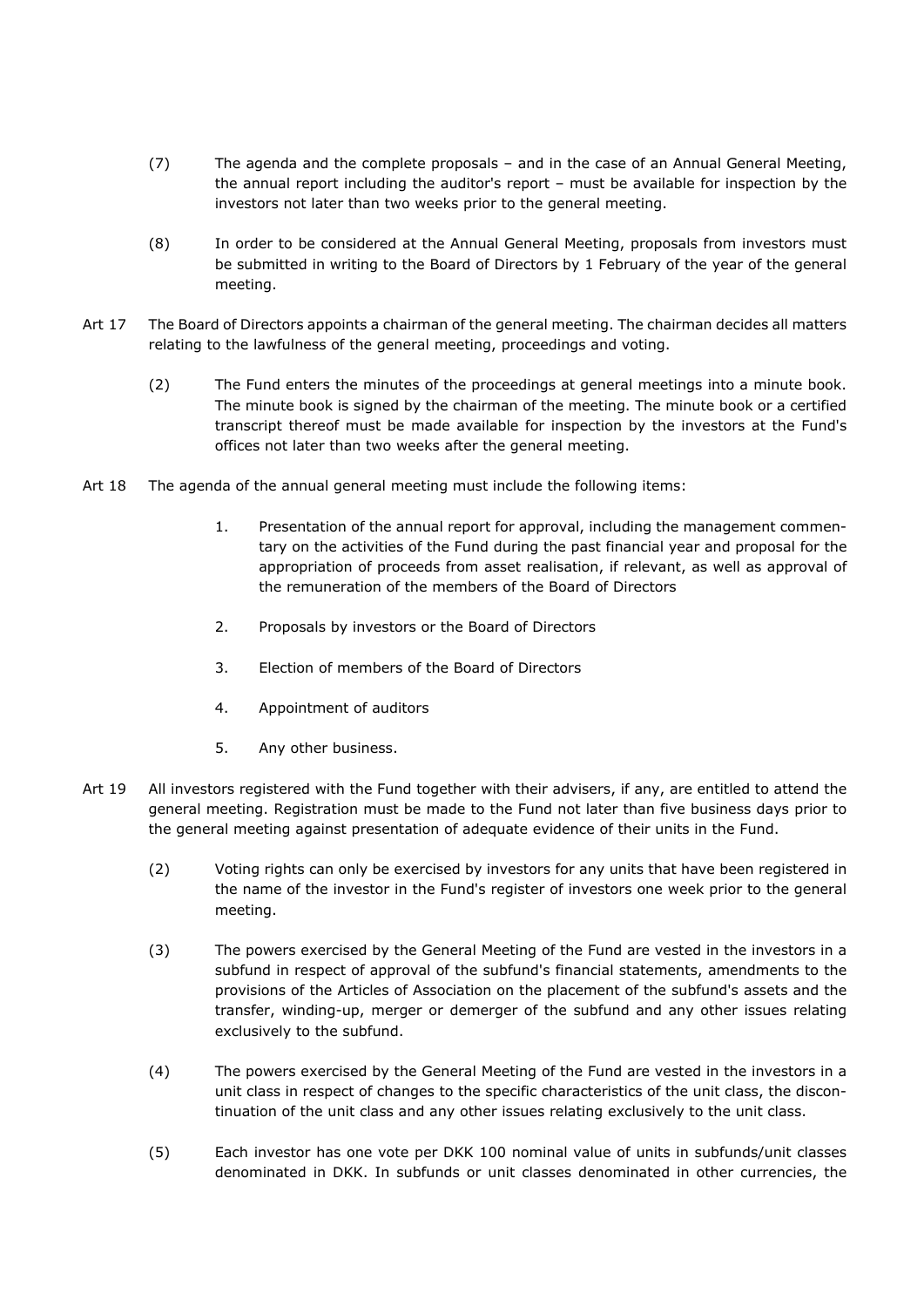- (7) The agenda and the complete proposals and in the case of an Annual General Meeting, the annual report including the auditor's report – must be available for inspection by the investors not later than two weeks prior to the general meeting.
- (8) In order to be considered at the Annual General Meeting, proposals from investors must be submitted in writing to the Board of Directors by 1 February of the year of the general meeting.
- Art 17 The Board of Directors appoints a chairman of the general meeting. The chairman decides all matters relating to the lawfulness of the general meeting, proceedings and voting.
	- (2) The Fund enters the minutes of the proceedings at general meetings into a minute book. The minute book is signed by the chairman of the meeting. The minute book or a certified transcript thereof must be made available for inspection by the investors at the Fund's offices not later than two weeks after the general meeting.
- Art 18 The agenda of the annual general meeting must include the following items:
	- 1. Presentation of the annual report for approval, including the management commentary on the activities of the Fund during the past financial year and proposal for the appropriation of proceeds from asset realisation, if relevant, as well as approval of the remuneration of the members of the Board of Directors
	- 2. Proposals by investors or the Board of Directors
	- 3. Election of members of the Board of Directors
	- 4. Appointment of auditors
	- 5. Any other business.
- Art 19 All investors registered with the Fund together with their advisers, if any, are entitled to attend the general meeting. Registration must be made to the Fund not later than five business days prior to the general meeting against presentation of adequate evidence of their units in the Fund.
	- (2) Voting rights can only be exercised by investors for any units that have been registered in the name of the investor in the Fund's register of investors one week prior to the general meeting.
	- (3) The powers exercised by the General Meeting of the Fund are vested in the investors in a subfund in respect of approval of the subfund's financial statements, amendments to the provisions of the Articles of Association on the placement of the subfund's assets and the transfer, winding-up, merger or demerger of the subfund and any other issues relating exclusively to the subfund.
	- (4) The powers exercised by the General Meeting of the Fund are vested in the investors in a unit class in respect of changes to the specific characteristics of the unit class, the discontinuation of the unit class and any other issues relating exclusively to the unit class.
	- (5) Each investor has one vote per DKK 100 nominal value of units in subfunds/unit classes denominated in DKK. In subfunds or unit classes denominated in other currencies, the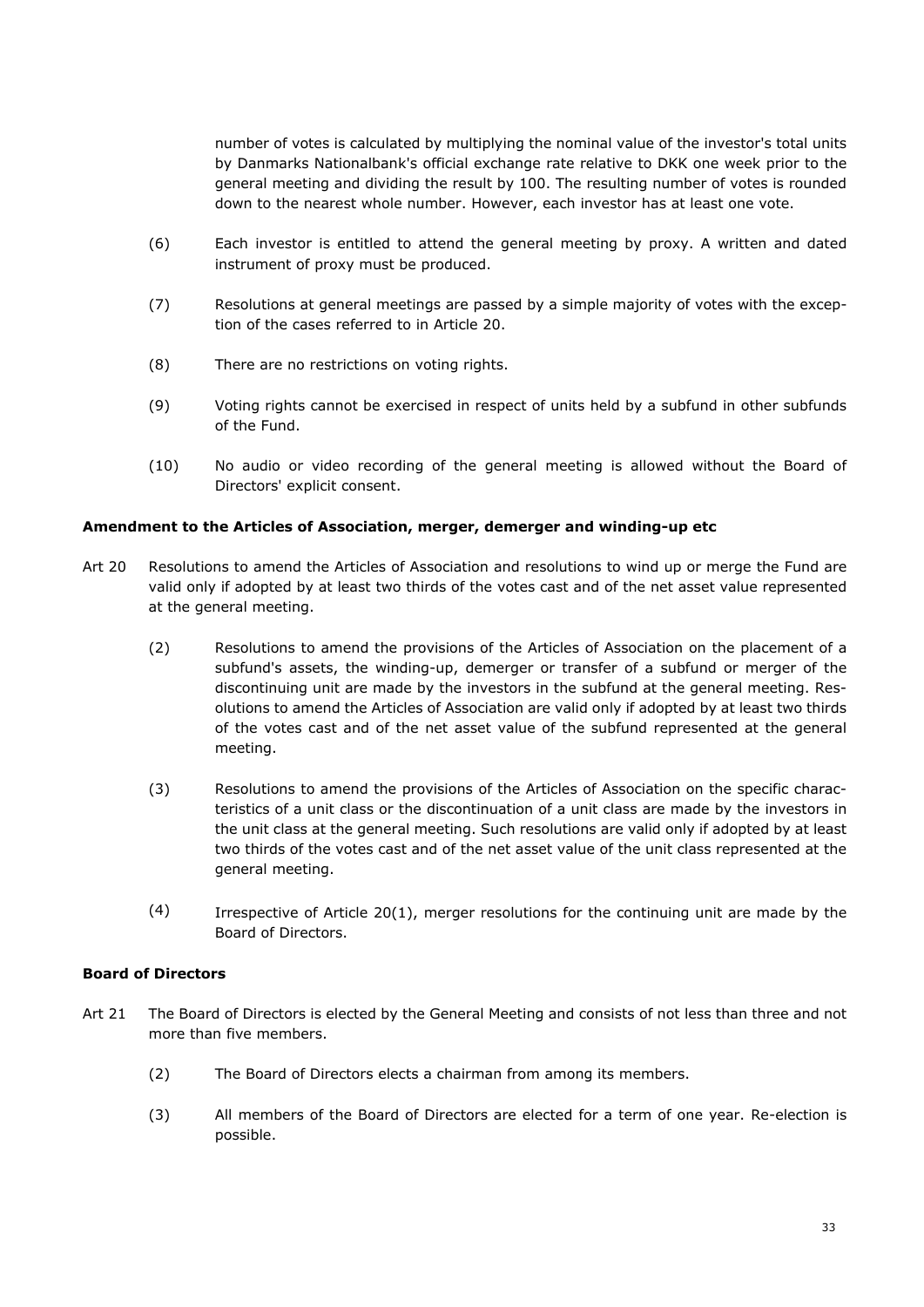number of votes is calculated by multiplying the nominal value of the investor's total units by Danmarks Nationalbank's official exchange rate relative to DKK one week prior to the general meeting and dividing the result by 100. The resulting number of votes is rounded down to the nearest whole number. However, each investor has at least one vote.

- (6) Each investor is entitled to attend the general meeting by proxy. A written and dated instrument of proxy must be produced.
- (7) Resolutions at general meetings are passed by a simple majority of votes with the exception of the cases referred to in Article 20.
- (8) There are no restrictions on voting rights.
- (9) Voting rights cannot be exercised in respect of units held by a subfund in other subfunds of the Fund.
- (10) No audio or video recording of the general meeting is allowed without the Board of Directors' explicit consent.

# **Amendment to the Articles of Association, merger, demerger and winding-up etc**

- Art 20 Resolutions to amend the Articles of Association and resolutions to wind up or merge the Fund are valid only if adopted by at least two thirds of the votes cast and of the net asset value represented at the general meeting.
	- (2) Resolutions to amend the provisions of the Articles of Association on the placement of a subfund's assets, the winding-up, demerger or transfer of a subfund or merger of the discontinuing unit are made by the investors in the subfund at the general meeting. Resolutions to amend the Articles of Association are valid only if adopted by at least two thirds of the votes cast and of the net asset value of the subfund represented at the general meeting.
	- (3) Resolutions to amend the provisions of the Articles of Association on the specific characteristics of a unit class or the discontinuation of a unit class are made by the investors in the unit class at the general meeting. Such resolutions are valid only if adopted by at least two thirds of the votes cast and of the net asset value of the unit class represented at the general meeting.
	- $(4)$  Irrespective of Article 20(1), merger resolutions for the continuing unit are made by the Board of Directors.

# **Board of Directors**

- Art 21 The Board of Directors is elected by the General Meeting and consists of not less than three and not more than five members.
	- (2) The Board of Directors elects a chairman from among its members.
	- (3) All members of the Board of Directors are elected for a term of one year. Re-election is possible.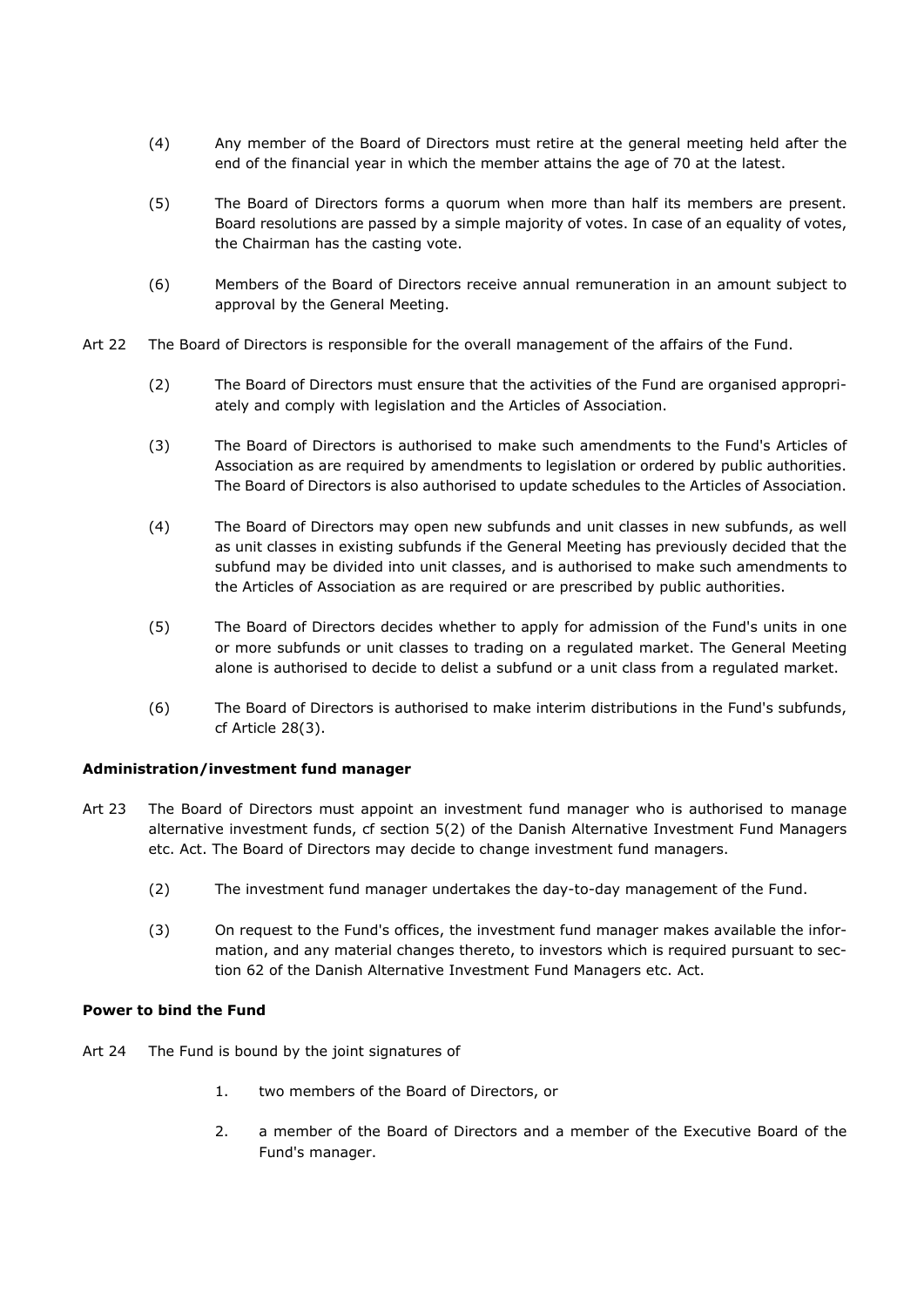- (4) Any member of the Board of Directors must retire at the general meeting held after the end of the financial year in which the member attains the age of 70 at the latest.
- (5) The Board of Directors forms a quorum when more than half its members are present. Board resolutions are passed by a simple majority of votes. In case of an equality of votes, the Chairman has the casting vote.
- (6) Members of the Board of Directors receive annual remuneration in an amount subject to approval by the General Meeting.
- Art 22 The Board of Directors is responsible for the overall management of the affairs of the Fund.
	- (2) The Board of Directors must ensure that the activities of the Fund are organised appropriately and comply with legislation and the Articles of Association.
	- (3) The Board of Directors is authorised to make such amendments to the Fund's Articles of Association as are required by amendments to legislation or ordered by public authorities. The Board of Directors is also authorised to update schedules to the Articles of Association.
	- (4) The Board of Directors may open new subfunds and unit classes in new subfunds, as well as unit classes in existing subfunds if the General Meeting has previously decided that the subfund may be divided into unit classes, and is authorised to make such amendments to the Articles of Association as are required or are prescribed by public authorities.
	- (5) The Board of Directors decides whether to apply for admission of the Fund's units in one or more subfunds or unit classes to trading on a regulated market. The General Meeting alone is authorised to decide to delist a subfund or a unit class from a regulated market.
	- (6) The Board of Directors is authorised to make interim distributions in the Fund's subfunds, cf Article 28(3).

# **Administration/investment fund manager**

- Art 23 The Board of Directors must appoint an investment fund manager who is authorised to manage alternative investment funds, cf section 5(2) of the Danish Alternative Investment Fund Managers etc. Act. The Board of Directors may decide to change investment fund managers.
	- (2) The investment fund manager undertakes the day-to-day management of the Fund.
	- (3) On request to the Fund's offices, the investment fund manager makes available the information, and any material changes thereto, to investors which is required pursuant to section 62 of the Danish Alternative Investment Fund Managers etc. Act.

# **Power to bind the Fund**

- Art 24 The Fund is bound by the joint signatures of
	- 1. two members of the Board of Directors, or
	- 2. a member of the Board of Directors and a member of the Executive Board of the Fund's manager.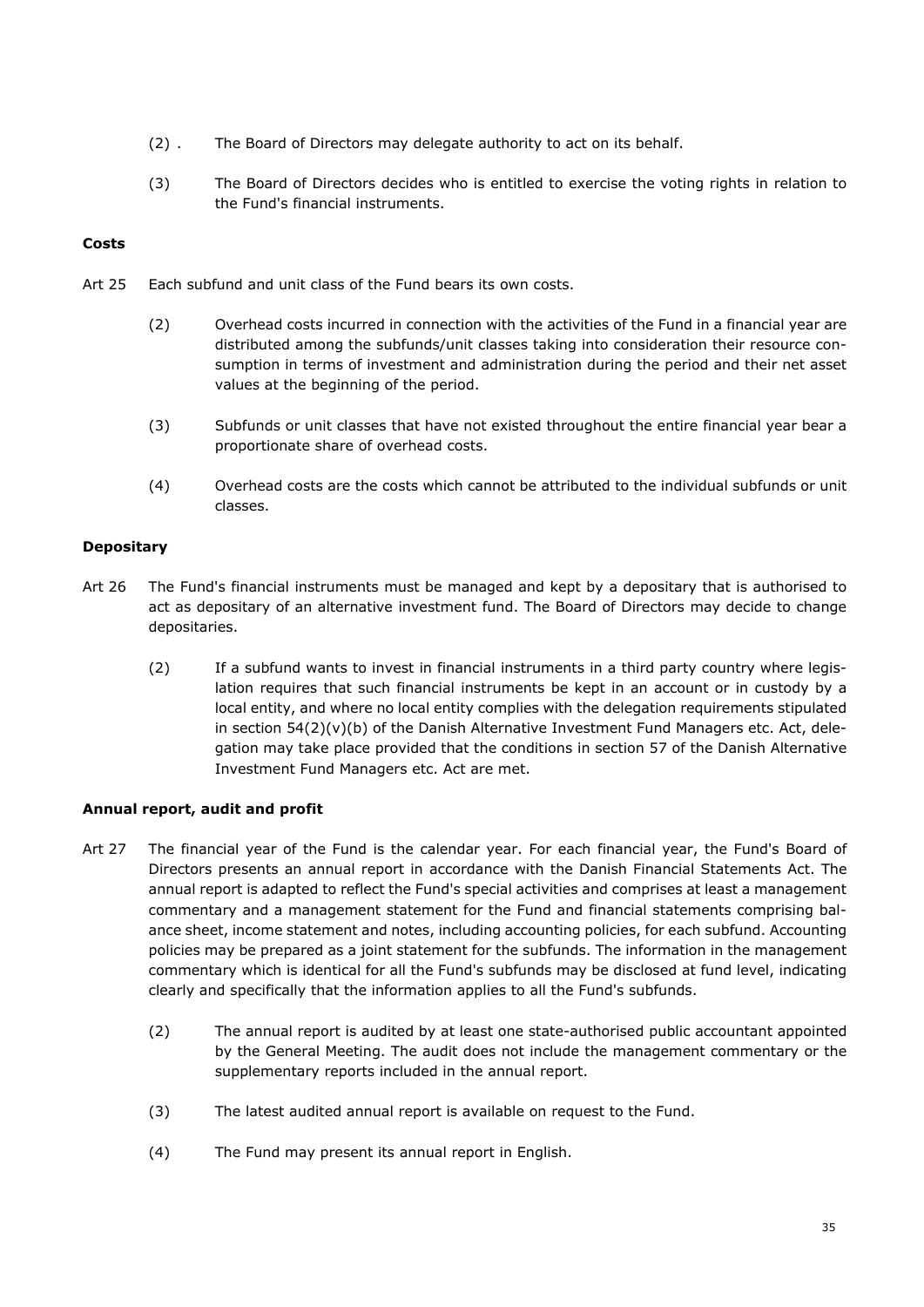- (2) . The Board of Directors may delegate authority to act on its behalf.
- (3) The Board of Directors decides who is entitled to exercise the voting rights in relation to the Fund's financial instruments.

# **Costs**

- Art 25 Each subfund and unit class of the Fund bears its own costs.
	- (2) Overhead costs incurred in connection with the activities of the Fund in a financial year are distributed among the subfunds/unit classes taking into consideration their resource consumption in terms of investment and administration during the period and their net asset values at the beginning of the period.
	- (3) Subfunds or unit classes that have not existed throughout the entire financial year bear a proportionate share of overhead costs.
	- (4) Overhead costs are the costs which cannot be attributed to the individual subfunds or unit classes.

# **Depositary**

- Art 26 The Fund's financial instruments must be managed and kept by a depositary that is authorised to act as depositary of an alternative investment fund. The Board of Directors may decide to change depositaries.
	- (2) If a subfund wants to invest in financial instruments in a third party country where legislation requires that such financial instruments be kept in an account or in custody by a local entity, and where no local entity complies with the delegation requirements stipulated in section 54(2)(v)(b) of the Danish Alternative Investment Fund Managers etc. Act, delegation may take place provided that the conditions in section 57 of the Danish Alternative Investment Fund Managers etc. Act are met.

# **Annual report, audit and profit**

- Art 27 The financial year of the Fund is the calendar year. For each financial year, the Fund's Board of Directors presents an annual report in accordance with the Danish Financial Statements Act. The annual report is adapted to reflect the Fund's special activities and comprises at least a management commentary and a management statement for the Fund and financial statements comprising balance sheet, income statement and notes, including accounting policies, for each subfund. Accounting policies may be prepared as a joint statement for the subfunds. The information in the management commentary which is identical for all the Fund's subfunds may be disclosed at fund level, indicating clearly and specifically that the information applies to all the Fund's subfunds.
	- (2) The annual report is audited by at least one state-authorised public accountant appointed by the General Meeting. The audit does not include the management commentary or the supplementary reports included in the annual report.
	- (3) The latest audited annual report is available on request to the Fund.
	- (4) The Fund may present its annual report in English.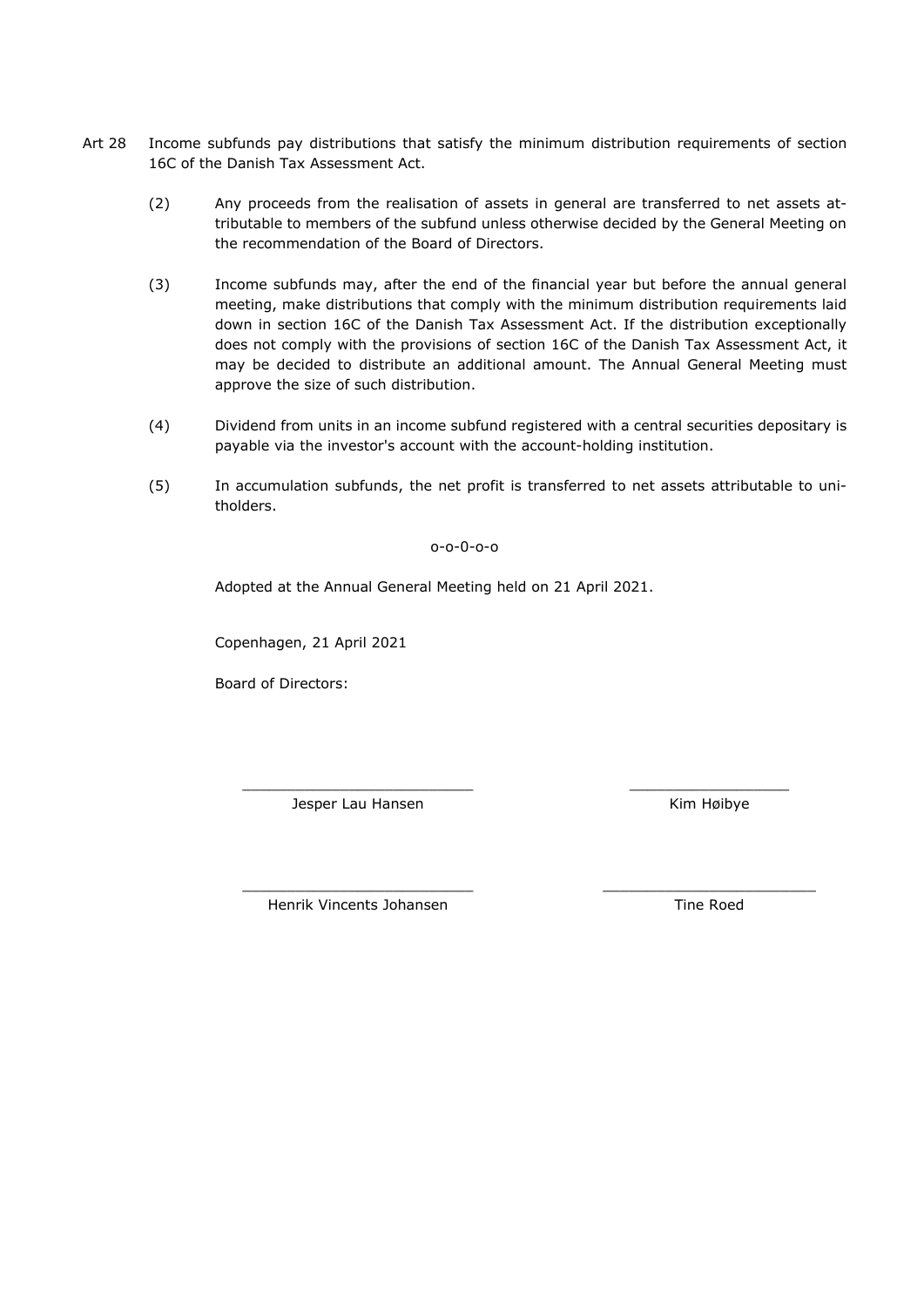- Art 28 Income subfunds pay distributions that satisfy the minimum distribution requirements of section 16C of the Danish Tax Assessment Act.
	- (2) Any proceeds from the realisation of assets in general are transferred to net assets attributable to members of the subfund unless otherwise decided by the General Meeting on the recommendation of the Board of Directors.
	- (3) Income subfunds may, after the end of the financial year but before the annual general meeting, make distributions that comply with the minimum distribution requirements laid down in section 16C of the Danish Tax Assessment Act. If the distribution exceptionally does not comply with the provisions of section 16C of the Danish Tax Assessment Act, it may be decided to distribute an additional amount. The Annual General Meeting must approve the size of such distribution.
	- (4) Dividend from units in an income subfund registered with a central securities depositary is payable via the investor's account with the account-holding institution.
	- (5) In accumulation subfunds, the net profit is transferred to net assets attributable to unitholders.

# o-o-0-o-o

Adopted at the Annual General Meeting held on 21 April 2021.

Copenhagen, 21 April 2021

Board of Directors:

\_\_\_\_\_\_\_\_\_\_\_\_\_\_\_\_\_\_\_\_\_\_\_\_\_\_ Jesper Lau Hansen

\_\_\_\_\_\_\_\_\_\_\_\_\_\_\_\_\_\_ Kim Høibye

\_\_\_\_\_\_\_\_\_\_\_\_\_\_\_\_\_\_\_\_\_\_\_\_\_\_ Henrik Vincents Johansen

\_\_\_\_\_\_\_\_\_\_\_\_\_\_\_\_\_\_\_\_\_\_\_\_ Tine Roed